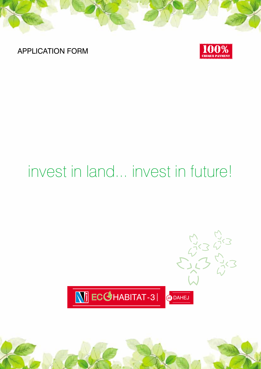APPLICATION FORM



# invest in land... invest in future!

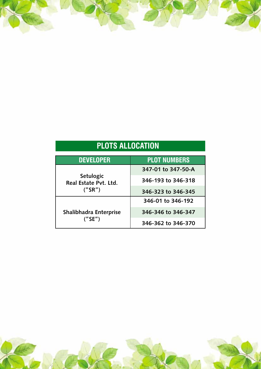# **PLOTS ALLOCATION**

| <b>DEVELOPER</b>                   | <b>PLOT NUMBERS</b> |  |  |  |  |
|------------------------------------|---------------------|--|--|--|--|
|                                    | 347-01 to 347-50-A  |  |  |  |  |
| Setulogic<br>Real Estate Pvt. Ltd. | 346-193 to 346-318  |  |  |  |  |
| (''SR")                            | 346-323 to 346-345  |  |  |  |  |
|                                    | 346-01 to 346-192   |  |  |  |  |
| Shalibhadra Enterprise             | 346-346 to 346-347  |  |  |  |  |
| (''SE'')                           | 346-362 to 346-370  |  |  |  |  |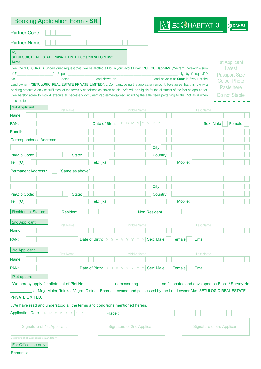| <b>Booking Application Form - SR</b>                                                                                                                                                                                                                                                                                 |                 |                                             |              |        |  |                     |   |                                   |       |           | $\sqrt{2}$ ECG HABITAT-3                     |         |  |                    |           | at DAHE.                                    |  |
|----------------------------------------------------------------------------------------------------------------------------------------------------------------------------------------------------------------------------------------------------------------------------------------------------------------------|-----------------|---------------------------------------------|--------------|--------|--|---------------------|---|-----------------------------------|-------|-----------|----------------------------------------------|---------|--|--------------------|-----------|---------------------------------------------|--|
| <b>Partner Code:</b>                                                                                                                                                                                                                                                                                                 |                 |                                             |              |        |  |                     |   |                                   |       |           |                                              |         |  |                    |           |                                             |  |
| <b>Partner Name:</b>                                                                                                                                                                                                                                                                                                 |                 |                                             |              |        |  |                     |   |                                   |       |           |                                              |         |  |                    |           |                                             |  |
| To,<br>SETULOGIC REAL ESTATE PRIVATE LIMITED, the "DEVELOPERS"<br>Surat.                                                                                                                                                                                                                                             |                 |                                             |              |        |  |                     |   |                                   |       |           |                                              |         |  |                    |           | 1st Applicant                               |  |
| I/We, the "PURCHASER" undersigned request that I/We be allotted a Plot in your layout Project NJ ECO Habitat-3. I/We remit herewith a sum                                                                                                                                                                            |                 |                                             |              |        |  |                     |   |                                   |       |           |                                              |         |  |                    |           | Latest                                      |  |
| of ₹<br>dated<br>No.                                                                                                                                                                                                                                                                                                 |                 |                                             | and drawn on |        |  |                     |   |                                   |       |           | and payable at <b>Surat</b> in favour of the |         |  | only) by Cheque/DD |           | <b>Passport Size</b><br><b>Colour Photo</b> |  |
| Land owner - "SETULOGIC REAL ESTATE PRIVATE LIMITED", a Company, being the application amount. I/We agree that this is only a                                                                                                                                                                                        |                 |                                             |              |        |  |                     |   |                                   |       |           |                                              |         |  |                    |           | Paste here                                  |  |
| booking amount & only on fulfillment of the terms & conditions as stated herein, I/We will be eligible for the allotment of the Plot as applied for.  <br>I/We hereby agree to sign & execute all necessary documents/agreements/deed including the sale deed pertaining to the Plot as & when<br>required to do so. |                 |                                             |              |        |  |                     |   |                                   |       |           |                                              |         |  |                    |           | Do not Staple                               |  |
| <b>1st Applicant</b><br><b>First Name</b>                                                                                                                                                                                                                                                                            |                 |                                             |              |        |  | <b>Middle Name</b>  |   |                                   |       |           |                                              |         |  | <b>Last Name</b>   |           |                                             |  |
| Name:                                                                                                                                                                                                                                                                                                                |                 |                                             |              |        |  |                     |   |                                   |       |           |                                              |         |  |                    |           |                                             |  |
| PAN:                                                                                                                                                                                                                                                                                                                 |                 | Date of Birth:                              |              |        |  | $D$ $D$ $M$ $M$ $Y$ |   |                                   |       |           |                                              |         |  |                    | Sex: Male | Female                                      |  |
| E-mail:                                                                                                                                                                                                                                                                                                              |                 |                                             |              |        |  |                     |   |                                   |       |           |                                              |         |  |                    |           |                                             |  |
| <b>Correspondence Address:</b>                                                                                                                                                                                                                                                                                       |                 |                                             |              |        |  |                     |   |                                   |       |           |                                              |         |  |                    |           |                                             |  |
|                                                                                                                                                                                                                                                                                                                      |                 |                                             |              |        |  |                     |   |                                   | City: |           |                                              |         |  |                    |           |                                             |  |
| Pin/Zip Code:                                                                                                                                                                                                                                                                                                        | State:          |                                             |              |        |  |                     |   |                                   |       | Country:  |                                              |         |  |                    |           |                                             |  |
| Tel.: $(O)$                                                                                                                                                                                                                                                                                                          |                 | Tel.: $(R)$                                 |              |        |  |                     |   |                                   |       |           |                                              | Mobile: |  |                    |           |                                             |  |
| <b>Permanent Address</b>                                                                                                                                                                                                                                                                                             | "Same as above" |                                             |              |        |  |                     |   |                                   |       |           |                                              |         |  |                    |           |                                             |  |
|                                                                                                                                                                                                                                                                                                                      |                 |                                             |              |        |  |                     |   |                                   |       |           |                                              |         |  |                    |           |                                             |  |
|                                                                                                                                                                                                                                                                                                                      |                 |                                             |              |        |  |                     |   |                                   | City: |           |                                              |         |  |                    |           |                                             |  |
| Pin/Zip Code:                                                                                                                                                                                                                                                                                                        | State:          |                                             |              |        |  |                     |   |                                   |       | Country:  |                                              |         |  |                    |           |                                             |  |
| Tel.: $(O)$                                                                                                                                                                                                                                                                                                          |                 | Tel.: $(R)$                                 |              |        |  |                     |   |                                   |       |           |                                              | Mobile: |  |                    |           |                                             |  |
| Residential Status:                                                                                                                                                                                                                                                                                                  | <b>Resident</b> |                                             |              |        |  |                     |   | Non Resident                      |       |           |                                              |         |  |                    |           |                                             |  |
| 2nd Applicant<br><b>First Name</b>                                                                                                                                                                                                                                                                                   |                 |                                             |              |        |  | <b>Middle Name</b>  |   |                                   |       |           |                                              |         |  | Last Name          |           |                                             |  |
| Name:                                                                                                                                                                                                                                                                                                                |                 |                                             |              |        |  |                     |   |                                   |       |           |                                              |         |  |                    |           |                                             |  |
| PAN:                                                                                                                                                                                                                                                                                                                 |                 | Date of Birth: $D D M M Y Y Y $             |              |        |  |                     | Y |                                   |       | Sex: Male | Female                                       |         |  | Email:             |           |                                             |  |
| 3rd Applicant                                                                                                                                                                                                                                                                                                        |                 |                                             |              |        |  |                     |   |                                   |       |           |                                              |         |  |                    |           |                                             |  |
| <b>First Name</b>                                                                                                                                                                                                                                                                                                    |                 |                                             |              |        |  | Middle Name         |   |                                   |       |           |                                              |         |  | Last Name          |           |                                             |  |
| Name:                                                                                                                                                                                                                                                                                                                |                 |                                             |              |        |  |                     |   |                                   |       |           |                                              |         |  |                    |           |                                             |  |
| PAN:                                                                                                                                                                                                                                                                                                                 |                 | Date of Birth: $D D M M Y Y Y Y $ Sex: Male |              |        |  |                     |   |                                   |       |           | Female                                       |         |  | Email:             |           |                                             |  |
| Plot option:                                                                                                                                                                                                                                                                                                         |                 |                                             |              |        |  |                     |   |                                   |       |           |                                              |         |  |                    |           |                                             |  |
| at Moje Muler, Taluka- Vagra, District-Bharuch, owned and possessed by the Land owner M/s. SETULOGIC REAL ESTATE                                                                                                                                                                                                     |                 |                                             |              |        |  |                     |   |                                   |       |           |                                              |         |  |                    |           |                                             |  |
| PRIVATE LIMITED.                                                                                                                                                                                                                                                                                                     |                 |                                             |              |        |  |                     |   |                                   |       |           |                                              |         |  |                    |           |                                             |  |
| I/We have read and understood all the terms and conditions mentioned herein.                                                                                                                                                                                                                                         |                 |                                             |              |        |  |                     |   |                                   |       |           |                                              |         |  |                    |           |                                             |  |
| $D D M M Y Y$<br><b>Application Date</b>                                                                                                                                                                                                                                                                             |                 |                                             |              | Place: |  |                     |   |                                   |       |           |                                              |         |  |                    |           |                                             |  |
| <b>Signature of 1st Applicant</b>                                                                                                                                                                                                                                                                                    |                 |                                             |              |        |  |                     |   | <b>Signature of 2nd Applicant</b> |       |           |                                              |         |  |                    |           | <b>Signature of 3rd Applicant</b>           |  |
| Signature of all applicants is mandatory.                                                                                                                                                                                                                                                                            |                 |                                             |              |        |  |                     |   |                                   |       |           |                                              |         |  |                    |           |                                             |  |
| For Office use only                                                                                                                                                                                                                                                                                                  |                 |                                             |              |        |  |                     |   |                                   |       |           |                                              |         |  |                    |           |                                             |  |
| Remarks:                                                                                                                                                                                                                                                                                                             |                 |                                             |              |        |  |                     |   |                                   |       |           |                                              |         |  |                    |           |                                             |  |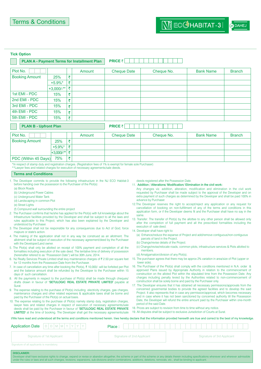**a** DAHEJ

|                                                                                                                                                                                                                                                                 |                     |   | <b>PLAN A - Payment Terms for Installment Plan</b>                                                                                                                                                                                                                                                                                                                                                                                                                                                                                                                                                                                                                                                                                                                                                                                                                                                                                                         | <b>PRICE ₹</b>                                                                                  |       |                                                                                                                                                                                                                                                                                                                                                                                                                                                                                                                                                                                                                                                                                                                                                                                                                                                                                                                                                                                                                   |                                   |               |
|-----------------------------------------------------------------------------------------------------------------------------------------------------------------------------------------------------------------------------------------------------------------|---------------------|---|------------------------------------------------------------------------------------------------------------------------------------------------------------------------------------------------------------------------------------------------------------------------------------------------------------------------------------------------------------------------------------------------------------------------------------------------------------------------------------------------------------------------------------------------------------------------------------------------------------------------------------------------------------------------------------------------------------------------------------------------------------------------------------------------------------------------------------------------------------------------------------------------------------------------------------------------------------|-------------------------------------------------------------------------------------------------|-------|-------------------------------------------------------------------------------------------------------------------------------------------------------------------------------------------------------------------------------------------------------------------------------------------------------------------------------------------------------------------------------------------------------------------------------------------------------------------------------------------------------------------------------------------------------------------------------------------------------------------------------------------------------------------------------------------------------------------------------------------------------------------------------------------------------------------------------------------------------------------------------------------------------------------------------------------------------------------------------------------------------------------|-----------------------------------|---------------|
|                                                                                                                                                                                                                                                                 |                     |   |                                                                                                                                                                                                                                                                                                                                                                                                                                                                                                                                                                                                                                                                                                                                                                                                                                                                                                                                                            |                                                                                                 |       |                                                                                                                                                                                                                                                                                                                                                                                                                                                                                                                                                                                                                                                                                                                                                                                                                                                                                                                                                                                                                   |                                   |               |
| Plot No.                                                                                                                                                                                                                                                        |                     |   | Amount                                                                                                                                                                                                                                                                                                                                                                                                                                                                                                                                                                                                                                                                                                                                                                                                                                                                                                                                                     | <b>Cheque Date</b>                                                                              |       | Cheque No.                                                                                                                                                                                                                                                                                                                                                                                                                                                                                                                                                                                                                                                                                                                                                                                                                                                                                                                                                                                                        | <b>Bank Name</b>                  | <b>Branch</b> |
| <b>Booking Amount</b>                                                                                                                                                                                                                                           | 25%                 | ₹ |                                                                                                                                                                                                                                                                                                                                                                                                                                                                                                                                                                                                                                                                                                                                                                                                                                                                                                                                                            |                                                                                                 |       |                                                                                                                                                                                                                                                                                                                                                                                                                                                                                                                                                                                                                                                                                                                                                                                                                                                                                                                                                                                                                   |                                   |               |
|                                                                                                                                                                                                                                                                 | $+5.9\%$ *          | ₹ |                                                                                                                                                                                                                                                                                                                                                                                                                                                                                                                                                                                                                                                                                                                                                                                                                                                                                                                                                            |                                                                                                 |       |                                                                                                                                                                                                                                                                                                                                                                                                                                                                                                                                                                                                                                                                                                                                                                                                                                                                                                                                                                                                                   |                                   |               |
|                                                                                                                                                                                                                                                                 | $+3,000/$ -**       | ₹ |                                                                                                                                                                                                                                                                                                                                                                                                                                                                                                                                                                                                                                                                                                                                                                                                                                                                                                                                                            |                                                                                                 |       |                                                                                                                                                                                                                                                                                                                                                                                                                                                                                                                                                                                                                                                                                                                                                                                                                                                                                                                                                                                                                   |                                   |               |
| 1st EMI - PDC                                                                                                                                                                                                                                                   | 15%                 | ₹ |                                                                                                                                                                                                                                                                                                                                                                                                                                                                                                                                                                                                                                                                                                                                                                                                                                                                                                                                                            |                                                                                                 |       |                                                                                                                                                                                                                                                                                                                                                                                                                                                                                                                                                                                                                                                                                                                                                                                                                                                                                                                                                                                                                   |                                   |               |
| 2nd EMI - PDC                                                                                                                                                                                                                                                   | 15%                 | ₹ |                                                                                                                                                                                                                                                                                                                                                                                                                                                                                                                                                                                                                                                                                                                                                                                                                                                                                                                                                            |                                                                                                 |       |                                                                                                                                                                                                                                                                                                                                                                                                                                                                                                                                                                                                                                                                                                                                                                                                                                                                                                                                                                                                                   |                                   |               |
| 3rd EMI - PDC                                                                                                                                                                                                                                                   | 15%                 | ₹ |                                                                                                                                                                                                                                                                                                                                                                                                                                                                                                                                                                                                                                                                                                                                                                                                                                                                                                                                                            |                                                                                                 |       |                                                                                                                                                                                                                                                                                                                                                                                                                                                                                                                                                                                                                                                                                                                                                                                                                                                                                                                                                                                                                   |                                   |               |
| 4th EMI - PDC                                                                                                                                                                                                                                                   | 15%                 | ₹ |                                                                                                                                                                                                                                                                                                                                                                                                                                                                                                                                                                                                                                                                                                                                                                                                                                                                                                                                                            |                                                                                                 |       |                                                                                                                                                                                                                                                                                                                                                                                                                                                                                                                                                                                                                                                                                                                                                                                                                                                                                                                                                                                                                   |                                   |               |
| 5th EMI - PDC                                                                                                                                                                                                                                                   | 15%                 | ₹ |                                                                                                                                                                                                                                                                                                                                                                                                                                                                                                                                                                                                                                                                                                                                                                                                                                                                                                                                                            |                                                                                                 |       |                                                                                                                                                                                                                                                                                                                                                                                                                                                                                                                                                                                                                                                                                                                                                                                                                                                                                                                                                                                                                   |                                   |               |
| <b>PLAN B - Upfront Plan</b>                                                                                                                                                                                                                                    |                     |   |                                                                                                                                                                                                                                                                                                                                                                                                                                                                                                                                                                                                                                                                                                                                                                                                                                                                                                                                                            | <b>PRICE ₹</b>                                                                                  |       |                                                                                                                                                                                                                                                                                                                                                                                                                                                                                                                                                                                                                                                                                                                                                                                                                                                                                                                                                                                                                   |                                   |               |
| Plot No.                                                                                                                                                                                                                                                        |                     |   | Amount                                                                                                                                                                                                                                                                                                                                                                                                                                                                                                                                                                                                                                                                                                                                                                                                                                                                                                                                                     | <b>Cheque Date</b>                                                                              |       | Cheque No.                                                                                                                                                                                                                                                                                                                                                                                                                                                                                                                                                                                                                                                                                                                                                                                                                                                                                                                                                                                                        | <b>Bank Name</b>                  | <b>Branch</b> |
| <b>Booking Amount</b>                                                                                                                                                                                                                                           | 25%                 | ₹ |                                                                                                                                                                                                                                                                                                                                                                                                                                                                                                                                                                                                                                                                                                                                                                                                                                                                                                                                                            |                                                                                                 |       |                                                                                                                                                                                                                                                                                                                                                                                                                                                                                                                                                                                                                                                                                                                                                                                                                                                                                                                                                                                                                   |                                   |               |
|                                                                                                                                                                                                                                                                 | $+5.9\%$ *          | ₹ |                                                                                                                                                                                                                                                                                                                                                                                                                                                                                                                                                                                                                                                                                                                                                                                                                                                                                                                                                            |                                                                                                 |       |                                                                                                                                                                                                                                                                                                                                                                                                                                                                                                                                                                                                                                                                                                                                                                                                                                                                                                                                                                                                                   |                                   |               |
|                                                                                                                                                                                                                                                                 | $+3,000/$ -**       | ₹ |                                                                                                                                                                                                                                                                                                                                                                                                                                                                                                                                                                                                                                                                                                                                                                                                                                                                                                                                                            |                                                                                                 |       |                                                                                                                                                                                                                                                                                                                                                                                                                                                                                                                                                                                                                                                                                                                                                                                                                                                                                                                                                                                                                   |                                   |               |
| PDC (Within 45 Days)                                                                                                                                                                                                                                            | 75%                 | ₹ |                                                                                                                                                                                                                                                                                                                                                                                                                                                                                                                                                                                                                                                                                                                                                                                                                                                                                                                                                            |                                                                                                 |       |                                                                                                                                                                                                                                                                                                                                                                                                                                                                                                                                                                                                                                                                                                                                                                                                                                                                                                                                                                                                                   |                                   |               |
| before handing over the possession to the Purchaser of the Plot(s):<br>(a) Block Roads<br>(b) Underground Power Cables<br>(c) Underground Water Tank<br>(d) Landscaping in common Plot<br>(e) Street Lights<br>(f) Compound wall surrounding the entire project |                     |   |                                                                                                                                                                                                                                                                                                                                                                                                                                                                                                                                                                                                                                                                                                                                                                                                                                                                                                                                                            | 2. The Purchaser confirms that he/she has applied for the Plot(s) with full knowledge about the | same. | 11. Addition / Alterations/ Modification/ Elimination in the civil work:<br>Any changes viz. addition, alteration, modification and elimination in the civil work<br>requested by Purchaser shall be made subject to the approval of the Developer and on<br>extra payment of such charges as determined by the Developer and shall be paid 100% in<br>advance by Purchaser.<br>12. The Developer reserves the right to accept/reject any application or any request for<br>cancellation of booking on non-fulfillment of any of the terms and conditions in this<br>application form, or if the Developer deems fit and the Purchaser shall have no say in the                                                                                                                                                                                                                                                                                                                                                   |                                   |               |
| understood by Purchaser.<br>majeure or state's action.<br>with the Developer/Land owner.<br>(hereinafter refered to as "Possession Date") will be 30th June, 2014.                                                                                              |                     |   | Infrastructure facilities provided by the Developer and shall be subject to all the laws and<br>rules applicable to this Project, which has also been explained by the Developer and<br>3. The Developer shall not be responsible for any consequences due to Act of God, force<br>4. The making of the application shall not in any way be construed as an allotment. The<br>allotment shall be subject of execution of the necessary agreement/deed by the Purchaser<br>5. The Plot(s) shall only be allotted on receipt of 100% payment and completion of all the<br>formalities including execution of the sale deed. The tentative time of delivery of possession                                                                                                                                                                                                                                                                                     |                                                                                                 |       | 13. Transfer: The transfer of Plot(s) by the allottee to any other person shall be allowed only<br>after the completion of full payment and all the prescribed formalities including the<br>execution of sale deed.<br>14. Developer shall have right to:<br>(a) Enhance/reduce the expanse of Project and add/remove contiguous/non-contiguous<br>parcels of land in the Project.<br>(b) Change/revise details of the Project.<br>(c) Change/revise/relocate roads, common plots, infrastructure services & Plots allotted to<br>members.<br>(d) Amalgamation/division of any Plot(s).                                                                                                                                                                                                                                                                                                                                                                                                                           |                                   |               |
| for 12 months from the Possession Date from the Purchaser.                                                                                                                                                                                                      |                     |   | 6. NJ Realty Services Private Limited shall levy maintenance charges of $\bar{\tau}$ 2.50 per square feet                                                                                                                                                                                                                                                                                                                                                                                                                                                                                                                                                                                                                                                                                                                                                                                                                                                  |                                                                                                 |       | 15. The purchaser agrees that there may be approx 2% variation in area/size of Plot (upper or<br>lower side).<br>16. The Purchaser of the Plot(s) shall comply with the conditions mentioned in N.A. order &                                                                                                                                                                                                                                                                                                                                                                                                                                                                                                                                                                                                                                                                                                                                                                                                      |                                   |               |
| days of such cancellation.<br>Surat.<br>paid by the Purchaser of the Plot(s) on actual basis.                                                                                                                                                                   |                     |   | 7. In case of cancellation any time after booking the Plot(s), $\bar{\tau}$ 10,000/- will be forfeited per Plot<br>and the balance amount shall be refunded by the Developer to the Purchaser within 15<br>8. All the payments in respect to the purchase of Plot(s) shall be made through cheques/<br>drafts drawn in favour of 'SETULOGIC REAL ESTATE PRIVATE LIMITED' payable at<br>9. The expense relating to the purchase of Plot(s) including electricity charges, gas charges,<br>maintenance charges and other related expenses & applicable taxes shall be borne and<br>10. The expense relating to the purchase of Plot(s) namely stamp duty, registration charges,<br>lawyer fees and related charges in respect of execution of necessary agreements/sale<br>deeds shall be paid by the Purchaser in favour of 'SETULOGIC REAL ESTATE PRIVATE<br><b>LIMITED'</b> at the time of booking. The Developer shall get the necessary agreements/sale |                                                                                                 |       | approved Plans issued by Appropriate Authority in relation to the commencement of<br>construction on the alloted Plot within the stipulated time from the Possession Date. Any<br>charges including penalty levied by the Authorities related to non-commencement of<br>construction shall be solely borne and paid by the Purchaser only.<br>17. The Developer ensures that it has obtained all necessary permissions/approvals from the<br>concerned govermental bodies to provide the agreed facilities and to develop the said<br>Project. It also represents that in case any permission/approval, which becomes necessary<br>and in case where it has not been sanctioned by concerned authority till the Possession<br>Date, the Developer will refund the entire amount paid by the Purchaser within one-month<br>period of the said Date.<br>18. Prices are subject to revision from time to time without any notice.<br>19. All disputes shall be subject to exclusive Jurisdiction of Courts at Surat. |                                   |               |
|                                                                                                                                                                                                                                                                 |                     |   |                                                                                                                                                                                                                                                                                                                                                                                                                                                                                                                                                                                                                                                                                                                                                                                                                                                                                                                                                            |                                                                                                 |       | I/We have read and understood all the terms and conditions mentioned herein. I/we hereby declare that the information provided herewith are true and correct to the best of my knowledge.                                                                                                                                                                                                                                                                                                                                                                                                                                                                                                                                                                                                                                                                                                                                                                                                                         |                                   |               |
| <b>Application Date</b>                                                                                                                                                                                                                                         | $D$ $D$ $M$ $M$ $Y$ |   |                                                                                                                                                                                                                                                                                                                                                                                                                                                                                                                                                                                                                                                                                                                                                                                                                                                                                                                                                            | Place:                                                                                          |       |                                                                                                                                                                                                                                                                                                                                                                                                                                                                                                                                                                                                                                                                                                                                                                                                                                                                                                                                                                                                                   |                                   |               |
| Signature of 1st Applicant                                                                                                                                                                                                                                      |                     |   |                                                                                                                                                                                                                                                                                                                                                                                                                                                                                                                                                                                                                                                                                                                                                                                                                                                                                                                                                            | Signature of 2nd Applicant                                                                      |       |                                                                                                                                                                                                                                                                                                                                                                                                                                                                                                                                                                                                                                                                                                                                                                                                                                                                                                                                                                                                                   | <b>Signature of 3rd Applicant</b> |               |

DISCLAIMER: Developer shall have exclusive rights to change, expand or revise or abandon altogether, the scheme or part of the scheme or any details therein including specifications whenever and wherever admissible<br>under the rules or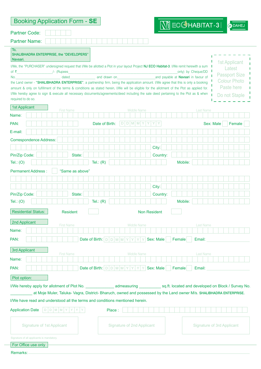| <b>Booking Application Form - SE</b>                                                                                                                                                                                                                                                 |                   |                                |                                             |                   | $\bigwedge$ j ec $G$ habitat-3 | a DAHE                                                                                                              |
|--------------------------------------------------------------------------------------------------------------------------------------------------------------------------------------------------------------------------------------------------------------------------------------|-------------------|--------------------------------|---------------------------------------------|-------------------|--------------------------------|---------------------------------------------------------------------------------------------------------------------|
| <b>Partner Code:</b>                                                                                                                                                                                                                                                                 |                   |                                |                                             |                   |                                |                                                                                                                     |
| <b>Partner Name:</b>                                                                                                                                                                                                                                                                 |                   |                                |                                             |                   |                                |                                                                                                                     |
| To,<br>SHALIBHADRA ENTERPRISE, the "DEVELOPERS"<br>Navsari.                                                                                                                                                                                                                          |                   |                                |                                             |                   |                                |                                                                                                                     |
| I/We, the "PURCHASER" undersigned request that I/We be allotted a Plot in your layout Project NJ ECO Habitat-3. I/We remit herewith a sum                                                                                                                                            |                   |                                |                                             |                   |                                | <b>1st Applicant</b><br>Latest                                                                                      |
| of ₹                                                                                                                                                                                                                                                                                 |                   |                                |                                             |                   | only) by Cheque/DD             | <b>Passport Size</b>                                                                                                |
| No.<br>the Land owner - "SHALIBHADRA ENTERPRISE", a partnership firm, being the application amount. I/We agree that this is only a booking                                                                                                                                           | dated             |                                |                                             |                   |                                | <b>Colour Photo</b>                                                                                                 |
| amount & only on fulfillment of the terms & conditions as stated herein, I/We will be eligible for the allotment of the Plot as applied for.<br>I/We hereby agree to sign & execute all necessary documents/agreements/deed including the sale deed pertaining to the Plot as & when |                   |                                |                                             |                   |                                | Paste here<br>Do not Staple                                                                                         |
| required to do so.                                                                                                                                                                                                                                                                   |                   |                                |                                             |                   |                                |                                                                                                                     |
| <b>1st Applicant</b><br>Name:                                                                                                                                                                                                                                                        | <b>First Name</b> |                                | <b>Middle Name</b>                          |                   | <b>Last Name</b>               |                                                                                                                     |
|                                                                                                                                                                                                                                                                                      |                   |                                |                                             |                   |                                |                                                                                                                     |
| PAN:                                                                                                                                                                                                                                                                                 |                   | Date of Birth:                 | $D$ M M<br>D                                |                   |                                | Sex: Male<br>Female                                                                                                 |
| E-mail:                                                                                                                                                                                                                                                                              |                   |                                |                                             |                   |                                |                                                                                                                     |
| <b>Correspondence Address:</b>                                                                                                                                                                                                                                                       |                   |                                |                                             |                   |                                |                                                                                                                     |
| Pin/Zip Code:                                                                                                                                                                                                                                                                        | State:            |                                |                                             | City:<br>Country: |                                |                                                                                                                     |
| Tel.: $(O)$                                                                                                                                                                                                                                                                          |                   | Tel.: $(R)$                    |                                             |                   | Mobile:                        |                                                                                                                     |
| <b>Permanent Address:</b>                                                                                                                                                                                                                                                            | "Same as above"   |                                |                                             |                   |                                |                                                                                                                     |
|                                                                                                                                                                                                                                                                                      |                   |                                |                                             |                   |                                |                                                                                                                     |
|                                                                                                                                                                                                                                                                                      |                   |                                |                                             | City:             |                                |                                                                                                                     |
| Pin/Zip Code:                                                                                                                                                                                                                                                                        | State:            |                                |                                             | Country:          |                                |                                                                                                                     |
| Tel.: $(O)$                                                                                                                                                                                                                                                                          |                   | Tel.: $(R)$                    |                                             |                   | Mobile:                        |                                                                                                                     |
| Residential Status:                                                                                                                                                                                                                                                                  | <b>Resident</b>   |                                |                                             | Non Resident      |                                |                                                                                                                     |
| 2nd Applicant                                                                                                                                                                                                                                                                        | <b>First Name</b> |                                | <b>Middle Name</b>                          |                   | <b>Last Name</b>               |                                                                                                                     |
| Name:                                                                                                                                                                                                                                                                                |                   |                                |                                             |                   |                                |                                                                                                                     |
| PAN:                                                                                                                                                                                                                                                                                 |                   | Date of Birth: $D D M M Y Y Y$ | $\mathsf{Y}$                                | Sex: Male         | Female<br>Email:               |                                                                                                                     |
| <b>3rd Applicant</b>                                                                                                                                                                                                                                                                 |                   |                                |                                             |                   |                                |                                                                                                                     |
| Name:                                                                                                                                                                                                                                                                                | <b>First Name</b> |                                | <b>Middle Name</b>                          |                   | <b>Last Name</b>               |                                                                                                                     |
| PAN:                                                                                                                                                                                                                                                                                 |                   |                                | Date of Birth: $D D M M Y Y Y Y $ Sex: Male |                   | Female<br>Email:               |                                                                                                                     |
|                                                                                                                                                                                                                                                                                      |                   |                                |                                             |                   |                                |                                                                                                                     |
| Plot option:                                                                                                                                                                                                                                                                         |                   |                                |                                             |                   |                                |                                                                                                                     |
|                                                                                                                                                                                                                                                                                      |                   |                                |                                             |                   |                                |                                                                                                                     |
| I/We have read and understood all the terms and conditions mentioned herein.                                                                                                                                                                                                         |                   |                                |                                             |                   |                                | at Moje Muler, Taluka- Vagra, District- Bharuch, owned and possessed by the Land owner M/s. SHALIBHADRA ENTERPRISE. |
| <b>Application Date</b><br>$D$ $D$ $M$ $M$ $Y$                                                                                                                                                                                                                                       |                   | Place:                         |                                             |                   |                                |                                                                                                                     |
| <b>Signature of 1st Applicant</b>                                                                                                                                                                                                                                                    |                   |                                | <b>Signature of 2nd Applicant</b>           |                   |                                | <b>Signature of 3rd Applicant</b>                                                                                   |
| Signature of all applicants is mandatory.                                                                                                                                                                                                                                            |                   |                                |                                             |                   |                                |                                                                                                                     |
| For Office use only                                                                                                                                                                                                                                                                  |                   |                                |                                             |                   |                                |                                                                                                                     |
| Remarks:                                                                                                                                                                                                                                                                             |                   |                                |                                             |                   |                                |                                                                                                                     |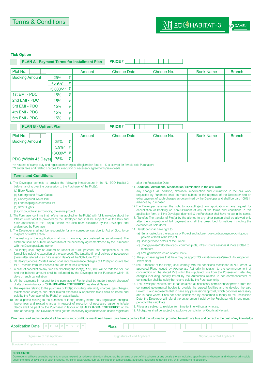at DAHEJ

#### **Tick Option** п. п

|                                   |                |   | <b>PLAN A - Payment Terms for Installment Plan</b> | <b>PRICE ₹</b>                    |            |                  |                      |
|-----------------------------------|----------------|---|----------------------------------------------------|-----------------------------------|------------|------------------|----------------------|
| Plot No.                          |                |   | Amount                                             | <b>Cheque Date</b>                | Cheque No. | <b>Bank Name</b> | <b>Branch</b>        |
| <b>Booking Amount</b>             | 25%            | ₹ |                                                    |                                   |            |                  |                      |
|                                   | $+5.9\%$ *     | ₹ |                                                    |                                   |            |                  |                      |
|                                   | $+3,000/$ -**) | ₹ |                                                    |                                   |            |                  |                      |
| 1st EMI - PDC                     | 15%            | ₹ |                                                    |                                   |            |                  |                      |
| 2nd EMI - PDC                     | 15%            | ₹ |                                                    |                                   |            |                  |                      |
| 3rd EMI - PDC                     | 15%            | ₹ |                                                    |                                   |            |                  |                      |
| 4th EMI - PDC                     | 15%            | ₹ |                                                    |                                   |            |                  |                      |
| 5th EMI - PDC                     | 15%            | ₹ |                                                    |                                   |            |                  |                      |
| <b>PLAN B - Upfront Plan</b>      |                |   |                                                    | <b>PRICE <math>\bar{z}</math></b> |            |                  |                      |
| <b>Contract Contract Contract</b> |                |   | <b>A A</b>                                         | $\sim$ $\sim$ $\sim$ $\sim$       |            | .                | $\sim$ $\sim$ $\sim$ |

| Plot No.              |               | Amount | <b>Cheque Date</b> | Cheque No. | <b>Bank Name</b> | <b>Branch</b> |
|-----------------------|---------------|--------|--------------------|------------|------------------|---------------|
| <b>Booking Amount</b> | 25%           |        |                    |            |                  |               |
|                       | $+5.9\%$ *    |        |                    |            |                  |               |
|                       | $+3.000/$ -** |        |                    |            |                  |               |
| PDC (Within 45 Days)  | 75%           |        |                    |            |                  |               |

\*In respect of stamp duty and registration charges. (Registration fees of 1% is exempt for female sole Purchaser) \*\*Lawyer fees and related charges for execution of necessary agreements/sale deeds

#### **Terms and Conditions**

- 1. The Developer commits to provide the following infrastructure in the NJ ECO Habitat-3 before handing over the possession to the Purchaser of the Plot(s):
	- (a) Block Roads
	- (b) Underground Power Cables
	- (c) Underground Water Tank
	- (d) Landscaping in common Plot
	- (e) Street Lights
	- (f) Compound wall surrounding the entire project
- 2. The Purchaser confirms that he/she has applied for the Plot(s) with full knowledge about the Infrastructure facilities provided by the Developer and shall be subject to all the laws and rules applicable to this Project, which has also been explained by the Developer and understood by Purchaser.
- 3. The Developer shall not be responsible for any consequences due to Act of God, force majeure or state's action.
- The making of the application shall not in any way be construed as an allotment. The allotment shall be subject of execution of the necessary agreement/deed by the Purchaser with the Developer/Land owner
- 5. The Plot(s) shall only be allotted on receipt of 100% payment and completion of all the formalities including execution of the sale deed. The tentative time of delivery of possession (hereinafter refered to as "Possession Date") will be 30th June, 2014.
- 6. NJ Realty Services Private Limited shall levy maintenance charges of  $\bar{\tau}$  2.50 per square feet for 12 months from the Possession Date from the Purchaser.
- 7. In case of cancellation any time after booking the Plot(s),  $\bar{\tau}$  10,000/- will be forfeited per Plot and the balance amount shall be refunded by the Developer to the Purchaser within 15 days of such cancellation.
- 8. All the payments in respect to the purchase of Plot(s) shall be made through cheques/ drafts drawn in favour of 'SHALIBHADRA ENTERPRISE' payable at Navsari.
- 9. The expense relating to the purchase of Plot(s) including electricity charges, gas charges, maintenance charges and other related expenses & applicable taxes shall be borne and paid by the Purchaser of the Plot(s) on actual basis.
- 10. The expense relating to the purchase of Plot(s) namely stamp duty, registration charges, lawyer fees and related charges in respect of execution of necessary agreements/sale deeds shall be paid by the Purchaser in favour of 'SHALIBHADRA ENTERPRISE' at the time of booking. The Developer shall get the necessary agreements/sale deeds registered

after the Possession Date.

11. Addition / Alterations/ Modification/ Elimination in the civil work:

Any changes viz. addition, alteration, modification and elimination in the civil work requested by Purchaser shall be made subject to the approval of the Developer and on extra payment of such charges as determined by the Developer and shall be paid 100% in advance by Purchaser.

- 12.The Developer reserves the right to accept/reject any application or any request for cancellation of booking on non-fulfillment of any of the terms and conditions in this application form, or if the Developer deems fit & the Purchaser shall have no say in the same.
- 13. Transfer: The transfer of Plot(s) by the allottee to any other person shall be allowed only after the completion of full payment and all the prescribed formalities including the execution of sale deed.
- 14. Developer shall have right to:
	- (a) Enhance/reduce the expanse of Project and add/remove contiguous/non-contiguous parcels of land in the Project.
	- (b) Change/revise details of the Project.
- (c) Change/revise/relocate roads, common plots, infrastructure services & Plots allotted to members.
- (d) Amalgamation/division of any Plot(s).
- 15. The purchaser agrees that there may be approx 2% variation in area/size of Plot (upper or lower side).
- 16.The Purchaser of the Plot(s) shall comply with the conditions mentioned in N.A. order & approved Plans issued by Appropriate Authority in relation to the commencement of construction on the alloted Plot within the stipulated time from the Possession Date. Any charges including penalty levied by the Authorities related to non-commencement of construction shall be solely borne and paid by the Purchaser only.
- 17. The Developer ensures that it has obtained all necessary permissions/approvals from the concerned govermental bodies to provide the agreed facilities and to develop the said Project. It also represents that in case any permission/approval, which becomes necessary and in case where it has not been sanctioned by concerned authority till the Possession Date, the Developer will refund the entire amount paid by the Purchaser within one-month period of the said Date.
- 18. Prices are subject to revision from time to time without any notice.
- 19. All disputes shall be subject to exclusive Jurisdiction of Courts at Navsari.

I/We have read and understood all the terms and conditions mentioned herein. I/we hereby declare that the information provided herewith are true and correct to the best of my knowledge.

| Application Date $ D D M M Y Y Y Y $      | Place:                     |                                   |
|-------------------------------------------|----------------------------|-----------------------------------|
| Signature of 1st Applicant                | Signature of 2nd Applicant | <b>Signature of 3rd Applicant</b> |
| Signature of all applicants is mandatory. |                            |                                   |

**DISCLAIMER** re rights to change, expand or revise or abandon altogether, the scheme or part of the scheme or any details therein including specifications whenever and wherever admissible under the rules or laws and all such changes, revisions, expansions, sub-divisions and/or combinations, additions, deletions, removals, etc., shall be binding to applicant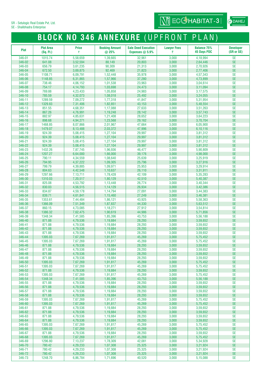SE - Shalibhadra Enterprise

### **BLOCK NO 346 ANNEXURE** (UPFRONT PLAN)

| <b>Plot</b>      | <b>Plot Area</b><br>(Sq. Ft.) | <b>Price</b><br>₹    | <b>Booking Amount</b><br>@ 25% | <b>Sale Deed Execution</b><br>Expenses $@$ 5.9% | <b>Lawyer Fees</b><br>₹ | <b>Balance 75%</b><br><b>45 Days PDC</b> | <b>Developer</b><br>(SR or SE) |
|------------------|-------------------------------|----------------------|--------------------------------|-------------------------------------------------|-------------------------|------------------------------------------|--------------------------------|
| 346-01           | 1015.74                       | 5,58,659             | 1.39.665                       | 32,961                                          | 3,000                   | 4.18.994                                 | <b>SE</b>                      |
| 346-02           | 641.08                        | 3,52,594             | 88,149                         | 20,803                                          | 3,000                   | 2,64,446                                 | <b>SE</b>                      |
| 346-03           | 656.79                        | 3,61,235             | 90,309                         | 21,313                                          | 3,000                   | 2,70,926                                 | <b>SE</b>                      |
| 346-04           | 672.50                        | 3,69,875             | 92,469                         | 21,823                                          | 3,000                   | 2,77,406                                 | <b>SE</b>                      |
| 346-05           | 1108.71                       | 6,09,791             | 1,52,448                       | 35,978                                          | 3,000                   | 4,57,343                                 | <b>SE</b>                      |
| 346-06           | 1148.85                       | 6,31,865             | 1,57,966                       | 37,280                                          | 3,000                   | 4,73,899                                 | <b>SE</b>                      |
| 346-07           | 738.46                        | 4,06,152             | 1,01,538                       | 23,963                                          | 3,000                   | 3,04,614                                 | <b>SE</b>                      |
| 346-08           | 754.17                        | 4,14,793             | 1,03,698                       | 24,473                                          | 3,000                   | 3,11,094                                 | <b>SE</b>                      |
| 346-09<br>346-10 | 769.88<br>785.59              | 4,23,433<br>4.32.073 | 1,05,858<br>1,08,018           | 24,983<br>25,492                                | 3,000<br>3,000          | 3,17,575<br>3,24,055                     | <b>SE</b><br><b>SE</b>         |
| 346-11           | 1289.59                       | 7,09,272             | 1,77,318                       | 41,847                                          | 3,000                   | 5,31,954                                 | <b>SE</b>                      |
| 346-12           | 1329.83                       | 7,31,406             | 1,82,851                       | 43,153                                          | 3,000                   | 5,48,554                                 | <b>SE</b>                      |
| 346-13           | 851.55                        | 4,68,351             | 1,17,088                       | 27,633                                          | 3,000                   | 3,51,263                                 | <b>SE</b>                      |
| 346-14           | 867.26                        | 4,76,991             | 1,19,248                       | 28,142                                          | 3,000                   | 3,57,743                                 | <b>SE</b>                      |
| 346-15           | 882.97                        | 4,85,631             | 1,21,408                       | 28,652                                          | 3,000                   | 3,64,223                                 | <b>SE</b>                      |
| 346-16           | 898.68                        | 4,94,271             | 1,23,568                       | 29,162                                          | 3,000                   | 3,70,704                                 | <b>SE</b>                      |
| 346-17           | 1468.85                       | 8,07,866             | 2,01,967                       | 47,664                                          | 3,000                   | 6,05,900                                 | <b>SE</b>                      |
| 346-18           | 1479.07                       | 8,13,488             | 2,03,372                       | 47,996                                          | 3,000                   | 6,10,116                                 | <b>SE</b>                      |
| 346-19           | 924.39                        | 5.08.415             | 1,27,104                       | 29,997                                          | 3,000                   | 3,81,312                                 | <b>SE</b>                      |
| 346-20           | 924.39<br>924.39              | 5,08,415             | 1,27,104                       | 29,997                                          | 3,000                   | 3,81,312                                 | <b>SE</b><br><b>SE</b>         |
| 346-21<br>346-22 | 924.39                        | 5,08,415<br>5,08,415 | 1,27,104<br>1,27,104           | 29,997<br>29,997                                | 3,000<br>3,000          | 3,81,312<br>3,81,312                     | <b>SE</b>                      |
| 346-23           | 1432.26                       | 7,87,745             | 1,96,936                       | 46,477                                          | 3,000                   | 5,90,809                                 | <b>SE</b>                      |
| 346-24           | 1207.27                       | 6,64,000             | 1,66,000                       | 39,176                                          | 3,000                   | 4,98,000                                 | <b>SE</b>                      |
| 346-25           | 790.11                        | 4,34,559             | 1,08,640                       | 25,639                                          | 3,000                   | 3,25,919                                 | <b>SE</b>                      |
| 346-26           | 794.95                        | 4,37,222             | 1,09,305                       | 25,796                                          | 3,000                   | 3,27,916                                 | <b>SE</b>                      |
| 346-27           | 799.79                        | 4,39,885             | 1,09,971                       | 25,953                                          | 3,000                   | 3,29,914                                 | <b>SE</b>                      |
| 346-28           | 804.63                        | 4,42,548             | 1,10,637                       | 26,110                                          | 3,000                   | 3,31,911                                 | <b>SE</b>                      |
| 346-29           | 1297.66                       | 7,13,711             | 1,78,428                       | 42,109                                          | 3,000                   | 5,35,283                                 | <b>SE</b>                      |
| 346-30           | 1310.03                       | 7,20,517             | 1,80,129                       | 42,510                                          | 3,000                   | 5,40,387                                 | <b>SE</b>                      |
| 346-31<br>346-32 | 825.08<br>830.03              | 4,53,792<br>4,56,515 | 1,13,448<br>1,14,129           | 26,774<br>26,934                                | 3,000<br>3,000          | 3,40,344<br>3,42,386                     | <b>SE</b><br><b>SE</b>         |
| 346-33           | 834.87                        | 4,59,178             | 1,14,794                       | 27,091                                          | 3,000                   | 3,44,383                                 | <b>SE</b>                      |
| 346-34           | 839.71                        | 4,61,841             | 1,15,460                       | 27,249                                          | 3,000                   | 3,46,381                                 | <b>SE</b>                      |
| 346-35           | 1353.61                       | 7,44,484             | 1,86,121                       | 43,925                                          | 3,000                   | 5,58,363                                 | <b>SE</b>                      |
| 346-36           | 1366.09                       | 7,51,349             | 1,87,837                       | 44,330                                          | 3,000                   | 5,63,512                                 | <b>SE</b>                      |
| 346-37           | 860.15                        | 4,73,085             | 1,18,271                       | 27,912                                          | 3,000                   | 3,54,814                                 | <b>SE</b>                      |
| 346-38           | 1386.32                       | 7,62,475             | 1,90,619                       | 44,986                                          | 3,000                   | 5,71,856                                 | <b>SE</b>                      |
| 346-39           | 1348.34                       | 7,41,585             | 1,85,396                       | 43,753                                          | 3,000                   | 5,56,188                                 | <b>SE</b>                      |
| 346-40<br>346-41 | 871.88<br>871.88              | 4,79,536             | 1,19,884                       | 28,293                                          | 3,000<br>3,000          | 3,59,652                                 | <b>SE</b>                      |
| 346-42           | 871.88                        | 4,79,536<br>4,79,536 | 1,19,884<br>1,19,884           | 28,293<br>28,293                                | 3,000                   | 3,59,652<br>3,59,652                     | <b>SE</b><br><b>SE</b>         |
| 346-43           | 871.88                        | 4,79,536             | 1,19,884                       | 28,293                                          | 3,000                   | 3,59,652                                 | <b>SE</b>                      |
| 346-44           | 1395.03                       | 7,67,269             | 1,91,817                       | 45,269                                          | 3,000                   | 5,75,452                                 | <b>SE</b>                      |
| 346-45           | 1395.03                       | 7,67,269             | 1,91,817                       | 45,269                                          | 3,000                   | 5,75,452                                 | <b>SE</b>                      |
| 346-46           | 871.88                        | 4,79,536             | 1,19,884                       | 28,293                                          | 3,000                   | 3,59,652                                 | <b>SE</b>                      |
| 346-47           | 871.88                        | 4,79,536             | 1,19,884                       | 28,293                                          | 3,000                   | 3,59,652                                 | <b>SE</b>                      |
| 346-48           | 871.88                        | 4,79,536             | 1,19,884                       | 28,293                                          | 3,000                   | 3,59,652                                 | <b>SE</b>                      |
| 346-49<br>346-50 | 871.88<br>1395.03             | 4,79,536<br>7,67,269 | 1,19,884<br>1,91,817           | 28,293<br>45,269                                | 3,000<br>3,000          | 3,59,652<br>5,75,452                     | <b>SE</b><br><b>SE</b>         |
| 346-51           | 1395.03                       | 7,67,269             | 1,91,817                       | 45,269                                          | 3,000                   | 5,75,452                                 | <b>SE</b>                      |
| 346-52           | 871.88                        | 4,79,536             | 1,19,884                       | 28,293                                          | 3,000                   | 3,59,652                                 | $\ensuremath{\mathsf{SE}}$     |
| 346-53           | 1395.03                       | 7,67,269             | 1,91,817                       | 45,269                                          | 3,000                   | 5,75,452                                 | <b>SE</b>                      |
| 346-54           | 1348.34                       | 7,41,585             | 1,85,396                       | 43,753                                          | 3,000                   | 5,56,188                                 | <b>SE</b>                      |
| 346-55           | 871.88                        | 4,79,536             | 1,19,884                       | 28,293                                          | 3,000                   | 3,59,652                                 | <b>SE</b>                      |
| 346-56           | 871.88                        | 4,79,536             | 1,19,884                       | 28,293                                          | 3,000                   | 3,59,652                                 | <b>SE</b>                      |
| 346-57           | 871.88                        | 4,79,536             | 1,19,884                       | 28,293                                          | 3,000                   | 3,59,652                                 | <b>SE</b>                      |
| 346-58           | 871.88                        | 4,79,536             | 1,19,884                       | 28,293                                          | 3,000                   | 3,59,652                                 | $\ensuremath{\mathsf{SE}}$     |
| 346-59<br>346-60 | 1395.03                       | 7,67,269             | 1,91,817                       | 45,269                                          | 3,000                   | 5,75,452                                 | <b>SE</b><br><b>SE</b>         |
| 346-61           | 1395.03<br>871.88             | 7,67,269<br>4,79,536 | 1,91,817<br>1,19,884           | 45,269<br>28,293                                | 3,000<br>3,000          | 5,75,452<br>3,59,652                     | <b>SE</b>                      |
| 346-62           | 871.88                        | 4,79,536             | 1,19,884                       | 28,293                                          | 3,000                   | 3,59,652                                 | <b>SE</b>                      |
| 346-63           | 871.88                        | 4,79,536             | 1,19,884                       | 28,293                                          | 3,000                   | 3,59,652                                 | <b>SE</b>                      |
| 346-64           | 871.88                        | 4,79,536             | 1,19,884                       | 28,293                                          | 3,000                   | 3,59,652                                 | $\ensuremath{\mathsf{SE}}$     |
| 346-65           | 1395.03                       | 7,67,269             | 1,91,817                       | 45,269                                          | 3,000                   | 5,75,452                                 | <b>SE</b>                      |
| 346-66           | 1395.03                       | 7,67,269             | 1,91,817                       | 45,269                                          | 3,000                   | 5,75,452                                 | <b>SE</b>                      |
| 346-67           | 871.88                        | 4,79,536             | 1,19,884                       | 28,293                                          | 3,000                   | 3,59,652                                 | <b>SE</b>                      |
| 346-68           | 1395.03                       | 7,67,269             | 1,91,817                       | 45,269                                          | 3,000                   | 5,75,452                                 | <b>SE</b>                      |
| 346-69<br>346-70 | 1296.80<br>780.42             | 7,13,237             | 1,78,309                       | 42,081                                          | 3,000<br>3,000          | 5,34,928                                 | <b>SE</b><br><b>SE</b>         |
| 346-71           | 780.42                        | 4,29,233<br>4,29,233 | 1,07,308<br>1,07,308           | 25,325<br>25,325                                | 3,000                   | 3,21,924<br>3,21,924                     | <b>SE</b>                      |
| 346-72           | 780.42                        | 4,29,233             | 1,07,308                       | 25,325                                          | 3,000                   | 3,21,924                                 | <b>SE</b>                      |
| 346-73           | 1248.70                       | 6,86,784             | 1,71,696                       | 40,520                                          | 3,000                   | 5,15,088                                 | <b>SE</b>                      |

at DAHEJ

 $\overline{\text{Mi}}$  ECCHABITAT-3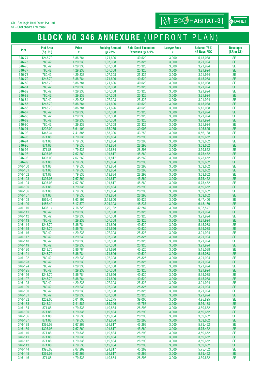### **BLOCK NO 346 ANNEXURE** (UPFRONT PLAN)

 $\boxed{\text{Nj}}$  ECG HABITAT-3

| <b>Plot</b>        | <b>Plot Area</b><br>(Sq. Ft.) | <b>Price</b><br>₹    | <b>Booking Amount</b><br>@ 25% | <b>Sale Deed Execution</b><br>Expenses $@$ 5.9% | <b>Lawyer Fees</b><br>₹ | <b>Balance 75%</b><br><b>45 Days PDC</b> | <b>Developer</b><br>(SR or SE) |
|--------------------|-------------------------------|----------------------|--------------------------------|-------------------------------------------------|-------------------------|------------------------------------------|--------------------------------|
| 346-74             | 1248.70                       | 6,86,784             | 1,71,696                       | 40,520                                          | 3,000                   | 5,15,088                                 | <b>SE</b>                      |
| 346-75             | 780.42                        | 4,29,233             | 1,07,308                       | 25,325                                          | 3,000                   | 3,21,924                                 | <b>SE</b>                      |
| 346-76             | 780.42                        | 4,29,233             | 1,07,308                       | 25,325                                          | 3,000                   | 3,21,924                                 | <b>SE</b>                      |
| 346-77<br>346-78   | 780.42<br>780.42              | 4,29,233<br>4,29,233 | 1,07,308<br>1,07,308           | 25,325<br>25,325                                | 3,000<br>3,000          | 3,21,924<br>3,21,924                     | <b>SE</b><br><b>SE</b>         |
| 346-79             | 1248.70                       | 6,86,784             | 1,71,696                       | 40,520                                          | 3,000                   | 5,15,088                                 | <b>SE</b>                      |
| 346-80             | 1248.70                       | 6,86,784             | 1,71,696                       | 40,520                                          | 3,000                   | 5,15,088                                 | <b>SE</b>                      |
| 346-81             | 780.42                        | 4,29,233             | 1,07,308                       | 25,325                                          | 3,000                   | 3,21,924                                 | <b>SE</b>                      |
| 346-82             | 780.42                        | 4,29,233             | 1,07,308                       | 25,325                                          | 3,000                   | 3,21,924                                 | <b>SE</b>                      |
| 346-83<br>346-84   | 780.42<br>780.42              | 4,29,233             | 1,07,308<br>1,07,308           | 25,325<br>25,325                                | 3,000<br>3,000          | 3,21,924<br>3,21,924                     | <b>SE</b><br><b>SE</b>         |
| 346-85             | 1248.70                       | 4,29,233<br>6,86,784 | 1,71,696                       | 40,520                                          | 3,000                   | 5,15,088                                 | <b>SE</b>                      |
| 346-86             | 1248.70                       | 6,86,784             | 1,71,696                       | 40,520                                          | 3,000                   | 5,15,088                                 | <b>SE</b>                      |
| 346-87             | 780.42                        | 4,29,233             | 1,07,308                       | 25,325                                          | 3,000                   | 3,21,924                                 | <b>SE</b>                      |
| 346-88             | 780.42                        | 4,29,233             | 1,07,308                       | 25,325                                          | 3,000                   | 3,21,924                                 | <b>SE</b>                      |
| 346-89             | 780.42                        | 4,29,233             | 1,07,308                       | 25,325                                          | 3,000                   | 3,21,924                                 | <b>SE</b>                      |
| 346-90<br>346-91   | 780.42<br>1202.00             | 4,29,233<br>6,61,100 | 1,07,308<br>1,65,275           | 25,325<br>39,005                                | 3,000<br>3,000          | 3,21,924<br>4,95,825                     | <b>SE</b><br><b>SE</b>         |
| 346-92             | 1348.34                       | 7,41,585             | 1,85,396                       | 43,753                                          | 3,000                   | 5,56,188                                 | <b>SE</b>                      |
| 346-93             | 871.88                        | 4,79,536             | 1,19,884                       | 28,293                                          | 3,000                   | 3,59,652                                 | <b>SE</b>                      |
| 346-94             | 871.88                        | 4,79,536             | 1,19,884                       | 28,293                                          | 3,000                   | 3,59,652                                 | <b>SE</b>                      |
| 346-95             | 871.88                        | 4,79,536             | 1,19,884                       | 28,293                                          | 3,000                   | 3,59,652                                 | <b>SE</b>                      |
| 346-96<br>346-97   | 871.88<br>1395.03             | 4,79,536<br>7,67,269 | 1,19,884<br>1,91,817           | 28,293<br>45,269                                | 3,000<br>3,000          | 3,59,652<br>5,75,452                     | <b>SE</b><br><b>SE</b>         |
| 346-98             | 1395.03                       | 7,67,269             | 1,91,817                       | 45,269                                          | 3,000                   | 5,75,452                                 | <b>SE</b>                      |
| 346-99             | 871.88                        | 4,79,536             | 1,19,884                       | 28,293                                          | 3,000                   | 3,59,652                                 | <b>SE</b>                      |
| 346-100            | 871.88                        | 4,79,536             | 1,19,884                       | 28,293                                          | 3,000                   | 3,59,652                                 | <b>SE</b>                      |
| 346-101            | 871.88                        | 4,79,536             | 1,19,884                       | 28,293                                          | 3,000                   | 3,59,652                                 | <b>SE</b>                      |
| 346-102<br>346-103 | 871.88<br>1395.03             | 4,79,536<br>7,67,269 | 1,19,884<br>1,91,817           | 28,293<br>45,269                                | 3,000<br>3,000          | 3,59,652<br>5,75,452                     | <b>SE</b><br><b>SE</b>         |
| 346-104            | 1395.03                       | 7,67,269             | 1,91,817                       | 45,269                                          | 3,000                   | 5,75,452                                 | <b>SE</b>                      |
| 346-105            | 871.88                        | 4,79,536             | 1,19,884                       | 28,293                                          | 3,000                   | 3,59,652                                 | <b>SE</b>                      |
| 346-106            | 871.88                        | 4,79,536             | 1,19,884                       | 28,293                                          | 3,000                   | 3,59,652                                 | <b>SE</b>                      |
| 346-107            | 871.88                        | 4,79,536             | 1,19,884                       | 28,293                                          | 3,000                   | 3,59,652                                 | <b>SE</b>                      |
| 346-108<br>346-109 | 1569.45<br>1486.49            | 8,63,199<br>8,17,572 | 2,15,800<br>2,04,393           | 50,929<br>48,237                                | 3,000<br>3,000          | 6,47,400<br>6,13,179                     | <b>SE</b><br><b>SE</b>         |
| 346-110            | 1303.14                       | 7,16,729             | 1,79,182                       | 42,287                                          | 3,000                   | 5,37,547                                 | <b>SE</b>                      |
| 346-111            | 780.42                        | 4,29,233             | 1,07,308                       | 25,325                                          | 3,000                   | 3,21,924                                 | <b>SE</b>                      |
| 346-112            | 780.42                        | 4,29,233             | 1,07,308                       | 25,325                                          | 3,000                   | 3,21,924                                 | <b>SE</b>                      |
| 346-113            | 780.42                        | 4,29,233             | 1,07,308                       | 25,325                                          | 3,000                   | 3,21,924                                 | <b>SE</b>                      |
| 346-114<br>346-115 | 1248.70<br>1248.70            | 6,86,784<br>6,86,784 | 1,71,696<br>1,71,696           | 40,520<br>40,520                                | 3,000<br>3,000          | 5,15,088<br>5,15,088                     | <b>SE</b><br><b>SE</b>         |
| 346-116            | 780.42                        | 4,29,233             | 1,07,308                       | 25,325                                          | 3,000                   | 3,21,924                                 | <b>SE</b>                      |
| 346-117            | 780.42                        | 4,29,233             | 1,07,308                       | 25,325                                          | 3,000                   | 3,21,924                                 | <b>SE</b>                      |
| 346-118            | 780.42                        | 4,29,233             | 1,07,308                       | 25,325                                          | 3,000                   | 3,21,924                                 | <b>SE</b>                      |
| 346-119            | 780.42                        | 4,29,233             | 1,07,308                       | 25,325                                          | 3,000                   | 3,21,924                                 | <b>SE</b>                      |
| 346-120<br>346-121 | 1248.70<br>1248.70            | 6,86,784<br>6,86,784 | 1,71,696<br>1,71,696           | 40,520<br>40,520                                | 3,000<br>3,000          | 5,15,088<br>5,15,088                     | <b>SE</b><br><b>SE</b>         |
| 346-122            | 780.42                        | 4,29,233             | 1,07,308                       | 25,325                                          | 3,000                   | 3,21,924                                 | <b>SE</b>                      |
| 346-123            | 780.42                        | 4,29,233             | 1,07,308                       | 25,325                                          | 3,000                   | 3,21,924                                 | <b>SE</b>                      |
| 346-124            | 780.42                        | 4,29,233             | 1,07,308                       | 25,325                                          | 3,000                   | 3,21,924                                 | <b>SE</b>                      |
| 346-125            | 780.42                        | 4,29,233             | 1,07,308                       | 25,325                                          | 3,000                   | 3,21,924                                 | <b>SE</b>                      |
| 346-126<br>346-127 | 1248.70<br>1248.70            | 6,86,784<br>6,86,784 | 1,71,696<br>1,71,696           | 40,520<br>40,520                                | 3,000<br>3,000          | 5,15,088<br>5,15,088                     | <b>SE</b><br><b>SE</b>         |
| 346-128            | 780.42                        | 4,29,233             | 1,07,308                       | 25,325                                          | 3,000                   | 3,21,924                                 | <b>SE</b>                      |
| 346-129            | 780.42                        | 4,29,233             | 1,07,308                       | 25,325                                          | 3,000                   | 3,21,924                                 | <b>SE</b>                      |
| 346-130            | 780.42                        | 4,29,233             | 1,07,308                       | 25,325                                          | 3,000                   | 3,21,924                                 | <b>SE</b>                      |
| 346-131            | 780.42                        | 4,29,233             | 1,07,308                       | 25,325                                          | 3,000                   | 3,21,924                                 | <b>SE</b>                      |
| 346-132<br>346-133 | 1202.00<br>1348.34            | 6,61,100<br>7,41,585 | 1,65,275<br>1,85,396           | 39,005<br>43,753                                | 3,000<br>3,000          | 4,95,825<br>5,56,188                     | <b>SE</b><br><b>SE</b>         |
| 346-134            | 871.88                        | 4,79,536             | 1,19,884                       | 28,293                                          | 3,000                   | 3,59,652                                 | <b>SE</b>                      |
| 346-135            | 871.88                        | 4,79,536             | 1,19,884                       | 28,293                                          | 3,000                   | 3,59,652                                 | <b>SE</b>                      |
| 346-136            | 871.88                        | 4,79,536             | 1,19,884                       | 28,293                                          | 3,000                   | 3,59,652                                 | <b>SE</b>                      |
| 346-137            | 871.88                        | 4,79,536             | 1,19,884                       | 28,293                                          | 3,000                   | 3,59,652                                 | <b>SE</b>                      |
| 346-138<br>346-139 | 1395.03<br>1395.03            | 7,67,269<br>7,67,269 | 1,91,817<br>1,91,817           | 45,269<br>45,269                                | 3,000<br>3,000          | 5,75,452<br>5,75,452                     | <b>SE</b><br><b>SE</b>         |
| 346-140            | 871.88                        | 4,79,536             | 1,19,884                       | 28,293                                          | 3,000                   | 3,59,652                                 | <b>SE</b>                      |
| 346-141            | 871.88                        | 4,79,536             | 1,19,884                       | 28,293                                          | 3,000                   | 3,59,652                                 | <b>SE</b>                      |
| 346-142            | 871.88                        | 4,79,536             | 1,19,884                       | 28,293                                          | 3,000                   | 3,59,652                                 | <b>SE</b>                      |
| 346-143            | 871.88                        | 4,79,536             | 1,19,884                       | 28,293                                          | 3,000                   | 3,59,652                                 | <b>SE</b>                      |
| 346-144<br>346-145 | 1395.03<br>1395.03            | 7,67,269<br>7,67,269 | 1,91,817<br>1,91,817           | 45,269<br>45,269                                | 3,000<br>3,000          | 5,75,452<br>5,75,452                     | <b>SE</b><br><b>SE</b>         |
| 346-146            | 871.88                        | 4,79,536             | 1,19,884                       | 28,293                                          | 3,000                   | 3,59,652                                 | SE                             |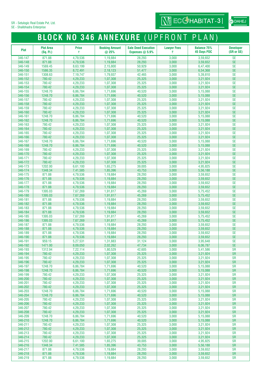### **BLOCK NO 346 ANNEXURE** (UPFRONT PLAN)

 $\boxed{\text{Nj}}$  ECG HABITAT-3

| <b>Plot</b>        | <b>Plot Area</b><br>(Sq. Ft.) | <b>Price</b><br>₹    | <b>Booking Amount</b><br>@ 25% | <b>Sale Deed Execution</b><br>Expenses $@$ 5.9% | <b>Lawyer Fees</b><br>₹ | <b>Balance 75%</b><br><b>45 Days PDC</b> | <b>Developer</b><br>(SR or SE) |
|--------------------|-------------------------------|----------------------|--------------------------------|-------------------------------------------------|-------------------------|------------------------------------------|--------------------------------|
| 346-147            | 871.88                        | 4,79,536             | 1,19,884                       | 28,293                                          | 3,000                   | 3,59,652                                 | <b>SE</b>                      |
| 346-148            | 871.88                        | 4,79,536             | 1,19,884                       | 28,293                                          | 3,000                   | 3,59,652                                 | <b>SE</b>                      |
| 346-149            | 1569.45                       | 8,63,199             | 2,15,800                       | 50,929                                          | 3,000                   | 6,47,400                                 | <b>SE</b>                      |
| 346-150            | 1586.35                       | 8,72,491             | 2,18,123                       | 51,477                                          | 3,000                   | 6,54,368                                 | <b>SE</b>                      |
| 346-151            | 1308.63                       | 7,19,747             | 1,79,937                       | 42,465                                          | 3,000                   | 5,39,810                                 | <b>SE</b>                      |
| 346-152            | 780.42                        | 4,29,233             | 1,07,308                       | 25,325                                          | 3,000                   | 3,21,924                                 | <b>SE</b>                      |
| 346-153            | 780.42                        | 4,29,233             | 1,07,308                       | 25,325                                          | 3,000                   | 3,21,924                                 | <b>SE</b>                      |
| 346-154            | 780.42                        | 4,29,233             | 1,07,308                       | 25,325                                          | 3,000                   | 3,21,924                                 | <b>SE</b>                      |
| 346-155            | 1248.70                       | 6,86,784             | 1,71,696                       | 40,520                                          | 3,000                   | 5,15,088                                 | <b>SE</b>                      |
| 346-156            | 1248.70                       | 6,86,784             | 1,71,696                       | 40,520                                          | 3,000                   | 5,15,088<br>3,21,924                     | <b>SE</b><br><b>SE</b>         |
| 346-157<br>346-158 | 780.42<br>780.42              | 4,29,233<br>4,29,233 | 1,07,308<br>1,07,308           | 25,325<br>25,325                                | 3,000<br>3,000          | 3,21,924                                 | <b>SE</b>                      |
| 346-159            | 780.42                        | 4,29,233             | 1,07,308                       | 25,325                                          | 3,000                   | 3,21,924                                 | <b>SE</b>                      |
| 346-160            | 780.42                        | 4,29,233             | 1,07,308                       | 25,325                                          | 3,000                   | 3,21,924                                 | <b>SE</b>                      |
| 346-161            | 1248.70                       | 6,86,784             | 1,71,696                       | 40,520                                          | 3,000                   | 5,15,088                                 | <b>SE</b>                      |
| 346-162            | 1248.70                       | 6,86,784             | 1,71,696                       | 40,520                                          | 3,000                   | 5,15,088                                 | <b>SE</b>                      |
| 346-163            | 780.42                        | 4,29,233             | 1,07,308                       | 25,325                                          | 3,000                   | 3,21,924                                 | <b>SE</b>                      |
| 346-164            | 780.42                        | 4,29,233             | 1,07,308                       | 25,325                                          | 3,000                   | 3,21,924                                 | <b>SE</b>                      |
| 346-165            | 780.42                        | 4,29,233             | 1,07,308                       | 25,325                                          | 3,000                   | 3,21,924                                 | <b>SE</b>                      |
| 346-166            | 780.42                        | 4,29,233             | 1,07,308                       | 25,325                                          | 3,000                   | 3,21,924                                 | <b>SE</b>                      |
| 346-167            | 1248.70                       | 6,86,784             | 1,71,696                       | 40,520                                          | 3,000                   | 5,15,088                                 | <b>SE</b>                      |
| 346-168            | 1248.70                       | 6,86,784             | 1,71,696                       | 40,520                                          | 3,000                   | 5,15,088                                 | <b>SE</b>                      |
| 346-169<br>346-170 | 780.42<br>780.42              | 4,29,233             | 1,07,308<br>1,07,308           | 25,325<br>25,325                                | 3,000<br>3,000          | 3,21,924                                 | <b>SE</b><br><b>SE</b>         |
| 346-171            | 780.42                        | 4,29,233<br>4,29,233 | 1,07,308                       | 25,325                                          | 3,000                   | 3,21,924<br>3,21,924                     | <b>SE</b>                      |
| 346-172            | 780.42                        | 4,29,233             | 1,07,308                       | 25,325                                          | 3,000                   | 3,21,924                                 | <b>SE</b>                      |
| 346-173            | 1202.00                       | 6,61,100             | 1,65,275                       | 39,005                                          | 3,000                   | 4,95,825                                 | <b>SE</b>                      |
| 346-174            | 1348.34                       | 7,41,585             | 1.85.396                       | 43,753                                          | 3,000                   | 5,56,188                                 | <b>SE</b>                      |
| 346-175            | 871.88                        | 4,79,536             | 1,19,884                       | 28,293                                          | 3,000                   | 3,59,652                                 | <b>SE</b>                      |
| 346-176            | 871.88                        | 4,79,536             | 1,19,884                       | 28,293                                          | 3,000                   | 3,59,652                                 | <b>SE</b>                      |
| 346-177            | 871.88                        | 4,79,536             | 1,19,884                       | 28,293                                          | 3,000                   | 3,59,652                                 | <b>SE</b>                      |
| 346-178            | 871.88                        | 4,79,536             | 1,19,884                       | 28,293                                          | 3,000                   | 3,59,652                                 | <b>SE</b>                      |
| 346-179            | 1395.03                       | 7,67,269             | 1,91,817                       | 45,269                                          | 3,000                   | 5,75,452                                 | <b>SE</b>                      |
| 346-180            | 1395.03                       | 7,67,269             | 1,91,817                       | 45,269                                          | 3,000                   | 5,75,452                                 | <b>SE</b>                      |
| 346-181<br>346-182 | 871.88<br>871.88              | 4,79,536             | 1,19,884                       | 28,293                                          | 3,000<br>3,000          | 3,59,652                                 | <b>SE</b><br><b>SE</b>         |
| 346-183            | 871.88                        | 4,79,536<br>4,79,536 | 1,19,884<br>1,19,884           | 28,293<br>28,293                                | 3,000                   | 3,59,652<br>3,59,652                     | <b>SE</b>                      |
| 346-184            | 871.88                        | 4,79,536             | 1,19,884                       | 28,293                                          | 3,000                   | 3,59,652                                 | <b>SE</b>                      |
| 346-185            | 1395.03                       | 7,67,269             | 1,91,817                       | 45,269                                          | 3,000                   | 5,75,452                                 | <b>SE</b>                      |
| 346-186            | 1395.03                       | 7,67,269             | 1,91,817                       | 45,269                                          | 3,000                   | 5,75,452                                 | <b>SE</b>                      |
| 346-187            | 871.88                        | 4,79,536             | 1,19,884                       | 28,293                                          | 3,000                   | 3,59,652                                 | <b>SE</b>                      |
| 346-188            | 871.88                        | 4,79,536             | 1,19,884                       | 28,293                                          | 3,000                   | 3,59,652                                 | <b>SE</b>                      |
| 346-189            | 871.88                        | 4,79,536             | 1,19,884                       | 28,293                                          | 3,000                   | 3,59,652                                 | <b>SE</b>                      |
| 346-190            | 871.88                        | 4,79,536             | 1,19,884                       | 28,293                                          | 3,000                   | 3,59,652                                 | <b>SE</b>                      |
| 346-191            | 959.15                        | 5,27,531             | 1,31,883                       | 31,124                                          | 3,000                   | 3,95,648                                 | <b>SE</b>                      |
| 346-192<br>346-193 | 1471.00                       | 8,09,050             | 2,02,262                       | 47,734                                          | 3,000                   | 6,06,787                                 | <b>SE</b>                      |
| 346-194            | 1312.94<br>780.42             | 7,22,114<br>4,29,233 | 1,80,529<br>1,07,308           | 42,605<br>25,325                                | 3,000<br>3,000          | 5,41,586<br>3,21,924                     | <b>SR</b><br><b>SR</b>         |
| 346-195            | 780.42                        | 4,29,233             | 1,07,308                       | 25,325                                          | 3,000                   | 3,21,924                                 | <b>SR</b>                      |
| 346-196            | 780.42                        | 4,29,233             | 1,07,308                       | 25,325                                          | 3,000                   | 3,21,924                                 | <b>SR</b>                      |
| 346-197            | 1248.70                       | 6,86,784             | 1,71,696                       | 40,520                                          | 3,000                   | 5,15,088                                 | <b>SR</b>                      |
| 346-198            | 1248.70                       | 6,86,784             | 1,71,696                       | 40,520                                          | 3,000                   | 5,15,088                                 | <b>SR</b>                      |
| 346-199            | 780.42                        | 4,29,233             | 1,07,308                       | 25,325                                          | 3,000                   | 3,21,924                                 | <b>SR</b>                      |
| 346-200            | 780.42                        | 4,29,233             | 1,07,308                       | 25,325                                          | 3,000                   | 3,21,924                                 | <b>SR</b>                      |
| 346-201            | 780.42                        | 4,29,233             | 1,07,308                       | 25,325                                          | 3,000                   | 3,21,924                                 | <b>SR</b>                      |
| 346-202            | 780.42                        | 4,29,233             | 1,07,308                       | 25,325                                          | 3,000                   | 3,21,924                                 | <b>SR</b>                      |
| 346-203<br>346-204 | 1248.70<br>1248.70            | 6,86,784<br>6,86,784 | 1,71,696<br>1,71,696           | 40,520<br>40,520                                | 3,000<br>3,000          | 5,15,088<br>5,15,088                     | <b>SR</b><br><b>SR</b>         |
| 346-205            | 780.42                        | 4,29,233             | 1,07,308                       | 25,325                                          | 3,000                   | 3,21,924                                 | <b>SR</b>                      |
| 346-206            | 780.42                        | 4,29,233             | 1,07,308                       | 25,325                                          | 3,000                   | 3,21,924                                 | <b>SR</b>                      |
| 346-207            | 780.42                        | 4,29,233             | 1,07,308                       | 25,325                                          | 3,000                   | 3,21,924                                 | <b>SR</b>                      |
| 346-208            | 780.42                        | 4,29,233             | 1,07,308                       | 25,325                                          | 3,000                   | 3,21,924                                 | <b>SR</b>                      |
| 346-209            | 1248.70                       | 6,86,784             | 1,71,696                       | 40,520                                          | 3,000                   | 5,15,088                                 | <b>SR</b>                      |
| 346-210            | 1248.70                       | 6,86,784             | 1,71,696                       | 40,520                                          | 3,000                   | 5,15,088                                 | <b>SR</b>                      |
| 346-211            | 780.42                        | 4,29,233             | 1,07,308                       | 25,325                                          | 3,000                   | 3,21,924                                 | <b>SR</b>                      |
| 346-212            | 780.42                        | 4,29,233             | 1,07,308                       | 25,325                                          | 3,000                   | 3,21,924                                 | <b>SR</b>                      |
| 346-213            | 780.42                        | 4,29,233             | 1,07,308                       | 25,325                                          | 3,000                   | 3,21,924                                 | <b>SR</b>                      |
| 346-214<br>346-215 | 780.42                        | 4,29,233             | 1,07,308                       | 25,325                                          | 3,000                   | 3,21,924                                 | <b>SR</b>                      |
| 346-216            | 1202.00<br>1348.34            | 6,61,100<br>7,41,585 | 1,65,275<br>1,85,396           | 39,005<br>43,753                                | 3,000<br>3,000          | 4,95,825<br>5,56,188                     | <b>SR</b><br><b>SR</b>         |
| 346-217            | 871.88                        | 4,79,536             | 1,19,884                       | 28,293                                          | 3,000                   | 3,59,652                                 | <b>SR</b>                      |
| 346-218            | 871.88                        | 4,79,536             | 1,19,884                       | 28,293                                          | 3,000                   | 3,59,652                                 | <b>SR</b>                      |
| 346-219            | 871.88                        | 4,79,536             | 1,19,884                       | 28,293                                          | 3,000                   | 3,59,652                                 | <b>SR</b>                      |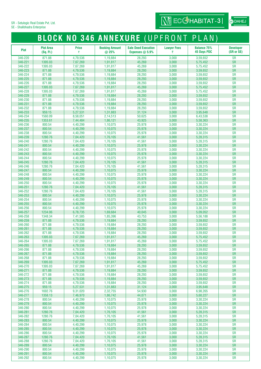## **BLOCK NO 346 ANNEXURE** (UPFRONT PLAN)

 $\overline{\text{Nj}}$  ECCHABITAT-3

| <b>Plot</b>        | <b>Plot Area</b><br>(Sq. Ft.) | <b>Price</b><br>₹    | <b>Booking Amount</b><br>@ 25% | <b>Sale Deed Execution</b><br>Expenses $@$ 5.9% | <b>Lawyer Fees</b><br>₹ | <b>Balance 75%</b><br><b>45 Days PDC</b> | <b>Developer</b><br>(SR or SE) |
|--------------------|-------------------------------|----------------------|--------------------------------|-------------------------------------------------|-------------------------|------------------------------------------|--------------------------------|
| 346-220            | 871.88                        | 4,79,536             | 1,19,884                       | 28,293                                          | 3,000                   | 3,59,652                                 | <b>SR</b>                      |
| 346-221            | 1395.03                       | 7,67,269             | 1,91,817                       | 45,269                                          | 3,000                   | 5,75,452                                 | <b>SR</b>                      |
| 346-222            | 1395.03                       | 7,67,269             | 1,91,817                       | 45,269                                          | 3,000                   | 5,75,452                                 | <b>SR</b>                      |
| 346-223            | 871.88                        | 4,79,536             | 1,19,884                       | 28,293                                          | 3,000                   | 3,59,652                                 | <b>SR</b>                      |
| 346-224            | 871.88<br>871.88              | 4,79,536             | 1,19,884                       | 28,293                                          | 3,000                   | 3,59,652                                 | <b>SR</b><br><b>SR</b>         |
| 346-225<br>346-226 | 871.88                        | 4,79,536<br>4,79,536 | 1,19,884<br>1,19,884           | 28,293<br>28,293                                | 3,000<br>3,000          | 3,59,652<br>3,59,652                     | <b>SR</b>                      |
| 346-227            | 1395.03                       | 7,67,269             | 1,91,817                       | 45,269                                          | 3,000                   | 5,75,452                                 | <b>SR</b>                      |
| 346-228            | 1395.03                       | 7,67,269             | 1,91,817                       | 45,269                                          | 3,000                   | 5,75,452                                 | <b>SR</b>                      |
| 346-229            | 871.88                        | 4,79,536             | 1,19,884                       | 28,293                                          | 3,000                   | 3,59,652                                 | <b>SR</b>                      |
| 346-230            | 871.88                        | 4,79,536             | 1,19,884                       | 28,293                                          | 3,000                   | 3,59,652                                 | <b>SR</b>                      |
| 346-231            | 871.88                        | 4,79,536             | 1,19,884                       | 28,293                                          | 3,000                   | 3,59,652                                 | <b>SR</b>                      |
| 346-232            | 871.88                        | 4,79,536             | 1,19,884                       | 28,293                                          | 3,000                   | 3,59,652                                 | <b>SR</b>                      |
| 346-233<br>346-234 | 959.15<br>1560.09             | 5,27,531             | 1,31,883                       | 31,124                                          | 3,000<br>3,000          | 3,95,648                                 | <b>SR</b><br><b>SR</b>         |
| 346-235            | 1353.61                       | 8,58,051<br>7,44,484 | 2,14,513<br>1,86,121           | 50,625<br>43,925                                | 3,000                   | 6,43,538<br>5,58,363                     | <b>SR</b>                      |
| 346-236            | 800.54                        | 4,40,299             | 1,10,075                       | 25,978                                          | 3,000                   | 3,30,224                                 | <b>SR</b>                      |
| 346-237            | 800.54                        | 4,40,299             | 1,10,075                       | 25,978                                          | 3,000                   | 3,30,224                                 | <b>SR</b>                      |
| 346-238            | 800.54                        | 4,40,299             | 1,10,075                       | 25,978                                          | 3,000                   | 3,30,224                                 | <b>SR</b>                      |
| 346-239            | 1280.76                       | 7,04,420             | 1,76,105                       | 41,561                                          | 3,000                   | 5,28,315                                 | <b>SR</b>                      |
| 346-240            | 1280.76                       | 7,04,420             | 1,76,105                       | 41,561                                          | 3,000                   | 5,28,315                                 | <b>SR</b>                      |
| 346-241            | 800.54                        | 4,40,299             | 1,10,075                       | 25,978                                          | 3,000                   | 3,30,224                                 | <b>SR</b>                      |
| 346-242            | 800.54                        | 4,40,299             | 1,10,075                       | 25,978                                          | 3,000                   | 3,30,224                                 | <b>SR</b>                      |
| 346-243<br>346-244 | 800.54<br>800.54              | 4,40,299             | 1,10,075                       | 25,978<br>25,978                                | 3,000                   | 3,30,224                                 | <b>SR</b><br><b>SR</b>         |
| 346-245            | 1280.76                       | 4,40,299<br>7,04,420 | 1,10,075<br>1,76,105           | 41,561                                          | 3,000<br>3,000          | 3,30,224<br>5,28,315                     | <b>SR</b>                      |
| 346-246            | 1280.76                       | 7,04,420             | 1,76,105                       | 41,561                                          | 3,000                   | 5,28,315                                 | <b>SR</b>                      |
| 346-247            | 800.54                        | 4,40,299             | 1,10,075                       | 25,978                                          | 3,000                   | 3,30,224                                 | <b>SR</b>                      |
| 346-248            | 800.54                        | 4,40,299             | 1,10,075                       | 25,978                                          | 3,000                   | 3,30,224                                 | <b>SR</b>                      |
| 346-249            | 800.54                        | 4,40,299             | 1,10,075                       | 25,978                                          | 3,000                   | 3,30,224                                 | <b>SR</b>                      |
| 346-250            | 800.54                        | 4,40,299             | 1,10,075                       | 25,978                                          | 3,000                   | 3,30,224                                 | <b>SR</b>                      |
| 346-251            | 1280.76                       | 7,04,420             | 1,76,105                       | 41,561                                          | 3,000                   | 5,28,315                                 | <b>SR</b>                      |
| 346-252            | 1280.76                       | 7,04,420             | 1,76,105                       | 41,561                                          | 3,000                   | 5,28,315                                 | <b>SR</b>                      |
| 346-253<br>346-254 | 800.54<br>800.54              | 4,40,299<br>4,40,299 | 1,10,075<br>1,10,075           | 25,978<br>25,978                                | 3,000<br>3,000          | 3,30,224<br>3,30,224                     | <b>SR</b><br><b>SR</b>         |
| 346-255            | 800.54                        | 4,40,299             | 1,10,075                       | 25,978                                          | 3,000                   | 3,30,224                                 | <b>SR</b>                      |
| 346-256            | 800.54                        | 4,40,299             | 1,10,075                       | 25,978                                          | 3,000                   | 3,30,224                                 | <b>SR</b>                      |
| 346-257            | 1234.06                       | 6,78,735             | 1,69,684                       | 40,045                                          | 3,000                   | 5,09,052                                 | <b>SR</b>                      |
| 346-258            | 1348.34                       | 7,41,585             | 1,85,396                       | 43,753                                          | 3,000                   | 5,56,188                                 | <b>SR</b>                      |
| 346-259            | 871.88                        | 4,79,536             | 1,19,884                       | 28,293                                          | 3,000                   | 3,59,652                                 | <b>SR</b>                      |
| 346-260            | 871.88                        | 4,79,536             | 1,19,884                       | 28,293                                          | 3,000                   | 3,59,652                                 | <b>SR</b>                      |
| 346-261            | 871.88                        | 4,79,536             | 1,19,884                       | 28,293                                          | 3,000                   | 3,59,652                                 | <b>SR</b>                      |
| 346-262<br>346-263 | 871.88                        | 4,79,536             | 1,19,884                       | 28,293                                          | 3,000                   | 3,59,652                                 | <b>SR</b>                      |
| 346-264            | 1395.03<br>1395.03            | 7.67.269<br>7,67,269 | 1,91,817                       | 45,269<br>45,269                                | 3,000<br>3,000          | 5,75,452                                 | <b>SR</b><br><b>SR</b>         |
| 346-265            | 871.88                        | 4,79,536             | 1,91,817<br>1,19,884           | 28,293                                          | 3,000                   | 5, 75, 452<br>3,59,652                   | <b>SR</b>                      |
| 346-266            | 871.88                        | 4,79,536             | 1,19,884                       | 28,293                                          | 3,000                   | 3,59,652                                 | <b>SR</b>                      |
| 346-267            | 871.88                        | 4,79,536             | 1,19,884                       | 28,293                                          | 3,000                   | 3,59,652                                 | <b>SR</b>                      |
| 346-268            | 871.88                        | 4,79,536             | 1,19,884                       | 28,293                                          | 3,000                   | 3,59,652                                 | <b>SR</b>                      |
| 346-269            | 1395.03                       | 7,67,269             | 1,91,817                       | 45,269                                          | 3,000                   | 5,75,452                                 | <b>SR</b>                      |
| 346-270            | 1395.03                       | 7,67,269             | 1,91,817                       | 45,269                                          | 3,000                   | 5,75,452                                 | <b>SR</b>                      |
| 346-271            | 871.88                        | 4,79,536             | 1,19,884                       | 28,293                                          | 3,000                   | 3,59,652                                 | <b>SR</b>                      |
| 346-272<br>346-273 | 871.88<br>871.88              | 4,79,536<br>4,79,536 | 1,19,884<br>1,19,884           | 28,293<br>28,293                                | 3,000<br>3,000          | 3,59,652<br>3,59,652                     | <b>SR</b><br><b>SR</b>         |
| 346-274            | 871.88                        | 4,79,536             | 1,19,884                       | 28,293                                          | 3,000                   | 3,59,652                                 | <b>SR</b>                      |
| 346-275            | 959.15                        | 5,27,531             | 1,31,883                       | 31,124                                          | 3,000                   | 3,95,648                                 | <b>SR</b>                      |
| 346-276            | 1692.76                       | 9,31,020             | 2,32,755                       | 54,930                                          | 3,000                   | 6,98,265                                 | <b>SR</b>                      |
| 346-277            | 1358.13                       | 7,46,970             | 1,86,742                       | 44,071                                          | 3,000                   | 5,60,227                                 | <b>SR</b>                      |
| 346-278            | 800.54                        | 4,40,299             | 1,10,075                       | 25,978                                          | 3,000                   | 3,30,224                                 | <b>SR</b>                      |
| 346-279            | 800.54                        | 4,40,299             | 1,10,075                       | 25,978                                          | 3,000                   | 3,30,224                                 | <b>SR</b>                      |
| 346-280            | 800.54                        | 4,40,299             | 1,10,075                       | 25,978                                          | 3,000                   | 3,30,224                                 | <b>SR</b>                      |
| 346-281            | 1280.76                       | 7,04,420             | 1,76,105                       | 41,561                                          | 3,000                   | 5,28,315                                 | <b>SR</b>                      |
| 346-282<br>346-283 | 1280.76<br>800.54             | 7,04,420             | 1,76,105                       | 41,561                                          | 3,000<br>3,000          | 5,28,315                                 | <b>SR</b><br><b>SR</b>         |
| 346-284            | 800.54                        | 4,40,299<br>4,40,299 | 1,10,075<br>1,10,075           | 25,978<br>25,978                                | 3,000                   | 3,30,224<br>3,30,224                     | <b>SR</b>                      |
| 346-285            | 800.54                        | 4,40,299             | 1,10,075                       | 25,978                                          | 3,000                   | 3,30,224                                 | <b>SR</b>                      |
| 346-286            | 800.54                        | 4,40,299             | 1,10,075                       | 25,978                                          | 3,000                   | 3,30,224                                 | <b>SR</b>                      |
| 346-287            | 1280.76                       | 7,04,420             | 1,76,105                       | 41,561                                          | 3,000                   | 5,28,315                                 | <b>SR</b>                      |
| 346-288            | 1280.76                       | 7,04,420             | 1,76,105                       | 41,561                                          | 3,000                   | 5,28,315                                 | <b>SR</b>                      |
| 346-289            | 800.54                        | 4,40,299             | 1,10,075                       | 25,978                                          | 3,000                   | 3,30,224                                 | <b>SR</b>                      |
| 346-290            | 800.54                        | 4,40,299             | 1,10,075                       | 25,978                                          | 3,000                   | 3,30,224                                 | <b>SR</b>                      |
| 346-291            | 800.54                        | 4,40,299             | 1,10,075                       | 25,978                                          | 3,000                   | 3,30,224                                 | <b>SR</b>                      |
| 346-292            | 800.54                        | 4,40,299             | 1,10,075                       | 25,978                                          | 3,000                   | 3,30,224                                 | <b>SR</b>                      |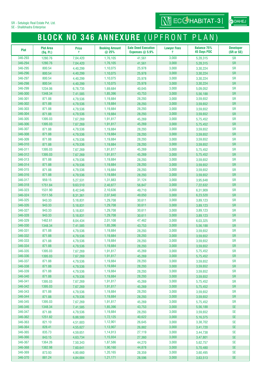SE - Shalibhadra Enterprise

### **BLOCK NO 346 ANNEXURE** (UPFRONT PLAN)

| <b>Plot</b>        | <b>Plot Area</b><br>(Sq. Ft.) | <b>Price</b><br>₹    | <b>Booking Amount</b><br>@25% | <b>Sale Deed Execution</b><br>Expenses $@$ 5.9% | <b>Lawyer Fees</b><br>₹ | <b>Balance 75%</b><br><b>45 Days PDC</b> | <b>Developer</b><br>(SR or SE) |
|--------------------|-------------------------------|----------------------|-------------------------------|-------------------------------------------------|-------------------------|------------------------------------------|--------------------------------|
| 346-293            | 1280.76                       | 7,04,420             | 1,76,105                      | 41,561                                          | 3,000                   | 5,28,315                                 | <b>SR</b>                      |
| 346-294            | 1280.76                       | 7,04,420             | 1,76,105                      | 41,561                                          | 3,000                   | 5,28,315                                 | <b>SR</b>                      |
| 346-295            | 800.54                        | 4,40,299             | 1,10,075                      | 25,978                                          | 3,000                   | 3,30,224                                 | <b>SR</b>                      |
| 346-296            | 800.54                        | 4,40,299             | 1,10,075                      | 25,978                                          | 3,000                   | 3.30.224                                 | <b>SR</b>                      |
| 346-297            | 800.54                        | 4,40,299             | 1,10,075                      | 25,978                                          | 3,000                   | 3,30,224                                 | <b>SR</b>                      |
| 346-298            | 800.54                        | 4,40,299             | 1,10,075                      | 25,978                                          | 3,000                   | 3,30,224                                 | <b>SR</b>                      |
| 346-299            | 1234.06                       | 6,78,735             | 1,69,684                      | 40.045                                          | 3,000                   | 5,09,052                                 | <b>SR</b>                      |
| 346-300            | 1348.34                       | 7,41,585             | 1,85,396                      | 43,753                                          | 3,000                   | 5,56,188                                 | <b>SR</b>                      |
| 346-301            | 871.88                        | 4,79,536             | 1,19,884                      | 28,293                                          | 3,000                   | 3,59,652                                 | <b>SR</b>                      |
| 346-302            | 871.88                        | 4,79,536             | 1,19,884                      | 28,293                                          | 3,000                   | 3,59,652                                 | <b>SR</b>                      |
| 346-303            | 871.88                        | 4,79,536             | 1,19,884                      | 28,293                                          | 3,000                   | 3,59,652                                 | <b>SR</b>                      |
| 346-304            | 871.88                        | 4,79,536             | 1,19,884                      | 28,293                                          | 3,000                   | 3,59,652                                 | <b>SR</b>                      |
| 346-305            | 1395.03                       | 7,67,269             | 1,91,817                      | 45,269                                          | 3,000                   | 5,75,452                                 | <b>SR</b>                      |
| 346-306            | 1395.03                       | 7,67,269             | 1,91,817                      | 45,269                                          | 3,000                   | 5,75,452                                 | <b>SR</b>                      |
| 346-307            | 871.88                        | 4,79,536             | 1,19,884                      | 28,293                                          | 3,000                   | 3,59,652                                 | <b>SR</b>                      |
| 346-308            | 871.88                        | 4,79,536             | 1,19,884                      | 28,293                                          | 3,000                   | 3,59,652                                 | <b>SR</b>                      |
| 346-309            | 871.88                        | 4,79,536             | 1,19,884                      | 28,293                                          | 3,000                   | 3,59,652                                 | <b>SR</b>                      |
| 346-310            | 871.88                        | 4,79,536             | 1,19,884                      | 28,293                                          | 3,000                   | 3,59,652                                 | <b>SR</b>                      |
| 346-311            | 1395.03                       | 7,67,269             | 1,91,817                      | 45,269                                          | 3,000                   | 5,75,452                                 | <b>SR</b>                      |
| 346-312            | 1395.03                       | 7,67,269             | 1,91,817                      | 45,269                                          | 3,000                   | 5,75,452                                 | <b>SR</b>                      |
| 346-313            | 871.88                        | 4,79,536             | 1,19,884                      | 28,293                                          | 3,000                   | 3,59,652                                 | <b>SR</b>                      |
| 346-314            | 871.88                        | 4,79,536             | 1,19,884                      | 28,293                                          | 3,000                   | 3,59,652                                 | <b>SR</b>                      |
| 346-315            | 871.88                        | 4,79,536             | 1,19,884                      | 28,293                                          | 3,000                   | 3,59,652                                 | <b>SR</b>                      |
| 346-316            | 871.88                        | 4,79,536             | 1,19,884                      | 28,293                                          | 3,000                   | 3,59,652                                 | <b>SR</b>                      |
| 346-317            | 959.15                        | 5,27,531             | 1,31,883                      | 31,124                                          | 3,000                   | 3,95,648                                 | <b>SR</b>                      |
| 346-318            | 1751.84                       | 9,63,510             | 2,40,877                      | 56,847                                          | 3,000                   | 7,22,632                                 | <b>SR</b>                      |
| 346-323            | 1531.90                       | 8,42,546             | 2,10,636                      | 49,710                                          | 3,000                   | 6,31,909                                 | <b>SR</b>                      |
| 346-324            | 1511.56                       | 8,31,361             | 2,07,840                      | 49,050                                          | 3,000                   | 6,23,520                                 | <b>SR</b>                      |
| 346-325            | 943.33                        | 5,18,831             | 1,29,708                      | 30,611                                          | 3,000                   | 3,89,123                                 | <b>SR</b>                      |
| 346-326            | 943.33                        | 5,18,831             | 1,29,708                      | 30,611                                          | 3,000                   | 3,89,123                                 | <b>SR</b>                      |
| 346-327            | 943.33                        | 5,18,831             | 1,29,708                      | 30,611                                          | 3,000                   | 3,89,123                                 | <b>SR</b>                      |
| 346-328            | 943.33                        | 5,18,831             | 1,29,708                      | 30,611                                          | 3,000                   | 3.89.123                                 | <b>SR</b>                      |
| 346-329            | 1462.61                       | 8,04,434             | 2,01,108                      | 47,462                                          | 3,000                   | 6,03,325                                 | <b>SR</b>                      |
| 346-330            | 1348.34                       | 7,41,585             | 1,85,396                      | 43,753                                          | 3,000                   | 5,56,188                                 | <b>SR</b>                      |
| 346-331            | 871.88                        | 4,79,536             | 1,19,884                      | 28,293                                          | 3,000                   | 3,59,652                                 | <b>SR</b>                      |
| 346-332            | 871.88                        | 4,79,536             | 1,19,884                      | 28,293                                          | 3,000                   | 3,59,652                                 | <b>SR</b>                      |
| 346-333            | 871.88                        | 4,79,536             | 1,19,884                      | 28,293                                          | 3,000                   | 3,59,652                                 | SR                             |
| 346-334            | 871.88                        | 4,79,536             | 1,19,884                      | 28,293                                          | 3,000                   | 3,59,652                                 | <b>SR</b>                      |
| 346-335            | 1395.03                       | 7,67,269             | 1,91,817                      | 45,269                                          | 3,000                   | 5,75,452                                 | <b>SR</b>                      |
| 346-336            | 1395.03                       | 7,67,269             | 1,91,817                      | 45,269                                          | 3,000                   | 5,75,452                                 | <b>SR</b>                      |
| 346-337            | 871.88                        | 4,79,536             | 1,19,884                      | 28,293                                          | 3,000                   | 3,59,652                                 | <b>SR</b>                      |
| 346-338            | 871.88                        | 4,79,536             | 1,19,884                      | 28,293                                          | 3,000                   | 3,59,652                                 | <b>SR</b>                      |
| 346-339            | 871.88                        | 4,79,536             | 1,19,884                      | 28,293                                          | 3,000                   | 3,59,652                                 | <b>SR</b>                      |
| 346-340            | 871.88                        | 4,79,536             | 1,19,884                      | 28,293                                          | 3,000                   | 3,59,652                                 | <b>SR</b>                      |
| 346-341            | 1395.03                       | 7,67,269             | 1,91,817                      | 45,269                                          | 3,000                   | 5,75,452                                 | <b>SR</b>                      |
| 346-342            | 1395.03                       | 7,67,269             | 1,91,817                      | 45,269                                          | 3,000                   | 5,75,452                                 | <b>SR</b>                      |
| 346-343            | 871.88                        | 4,79,536             | 1,19,884                      | 28,293                                          | 3,000                   | 3,59,652                                 | <b>SR</b>                      |
| 346-344            | 871.88                        | 4,79,536             | 1,19,884                      | 28,293                                          | 3,000                   | 3,59,652                                 | <b>SR</b>                      |
| 346-345            | 1395.03                       | 7,67,269             | 1,91,817                      | 45,269                                          | 3,000                   | 5,75,452                                 | <b>SR</b>                      |
| 346-346            | 1348.34                       | 7,41,585             | 1,85,396                      | 43,753                                          | 3,000                   | 5,56,188                                 | <b>SE</b>                      |
| 346-347            | 871.88                        | 4,79,536             | 1,19,884                      | 28,293                                          | 3,000                   | 3,59,652                                 | $\ensuremath{\mathsf{SE}}$     |
| 346-362            | 1251.82                       | 6,88,500             | 1,72,125                      | 40,622                                          | 3,000                   | 5,16,375                                 | <b>SE</b>                      |
| 346-363            | 821.10                        | 4,51,603             | 1,12,901                      | 26,645                                          | 3,000                   | 3,38,702                                 | <b>SE</b>                      |
| 346-364            | 828.41                        | 4,55,627             | 1,13,907                      | 26,882                                          | 3,000                   | 3,41,720                                 | <b>SE</b>                      |
| 346-365<br>346-366 | 835.73                        | 4,59,651             | 1,14,913<br>1,15,934          | 27,119                                          | 3,000<br>3,000          | 3,44,738                                 | <b>SE</b><br><b>SE</b>         |
| 346-367            | 843.15                        | 4,63,734             |                               | 27,360                                          |                         | 3,47,801                                 | <b>SE</b>                      |
| 346-368            | 1364.26<br>1382.98            | 7,50,343             | 1,87,586<br>1,90,160          | 44,270                                          | 3,000<br>3,000          | 5,62,757                                 | <b>SE</b>                      |
| 346-369            | 873.93                        | 7,60,641<br>4,80,660 | 1,20,165                      | 44,878<br>28,359                                | 3,000                   | 5,70,480<br>3,60,495                     | <b>SE</b>                      |
| 346-370            | 881.24                        | 4,84,684             | 1,21,171                      | 28,596                                          | 3,000                   | 3,63,513                                 | $\ensuremath{\mathsf{SE}}$     |
|                    |                               |                      |                               |                                                 |                         |                                          |                                |

 $\overline{\text{MJ}}$  ECC HABITAT-3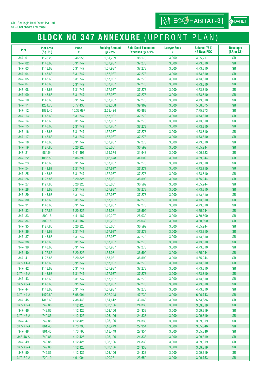SE - Shalibhadra Enterprise

### **BLOCK NO 347 ANNEXURE** (UPFRONT PLAN)

 $\overline{\text{MJ}}$  ECCHABITAT-3

| <b>Plot</b>              | <b>Plot Area</b><br>(Sq. Ft.) | <b>Price</b><br>₹    | <b>Booking Amount</b><br>@ 25% | <b>Sale Deed Execution</b><br>Expenses $@$ 5.9% | <b>Lawyer Fees</b><br>₹ | <b>Balance 75%</b><br><b>45 Days PDC</b> | <b>Developer</b><br>(SR or SE) |
|--------------------------|-------------------------------|----------------------|--------------------------------|-------------------------------------------------|-------------------------|------------------------------------------|--------------------------------|
| 347-01                   | 1176.28                       | 6,46,956             | 1,61,739                       | 38,170                                          | 3,000                   | 4,85,217                                 | <b>SR</b>                      |
| 347-02                   | 1148.63                       | 6,31,747             | 1,57,937                       | 37,273                                          | 3,000                   | 4,73,810                                 | <b>SR</b>                      |
| 347-03                   | 1148.63                       | 6,31,747             | 1,57,937                       | 37,273                                          | 3,000                   | 4,73,810                                 | <b>SR</b>                      |
| 347-04                   | 1148.63                       | 6,31,747             | 1,57,937                       | 37,273                                          | 3,000                   | 4,73,810                                 | <b>SR</b>                      |
| 347-05                   | 1148.63                       | 6,31,747             | 1,57,937                       | 37,273                                          | 3,000                   | 4,73,810                                 | <b>SR</b>                      |
| 347-07                   | 1148.63                       | 6,31,747             | 1,57,937                       | 37,273                                          | 3,000                   | 4,73,810                                 | <b>SR</b>                      |
| 347-08                   | 1148.63                       | 6,31,747             | 1,57,937                       | 37,273                                          | 3,000                   | 4,73,810                                 | <b>SR</b>                      |
| 347-09                   | 1148.63                       | 6,31,747             | 1,57,937                       | 37,273                                          | 3,000                   | 4,73,810                                 | <b>SR</b>                      |
| 347-10                   | 1148.63                       | 6,31,747             | 1,57,937                       | 37,273                                          | 3,000                   | 4,73,810                                 | <b>SR</b>                      |
| $347 - 11$               | 1231.70                       | 6,77,433             | 1,69,358                       | 39,969                                          | 3,000                   | 5,08,075                                 | <b>SR</b>                      |
| 347-12                   | 1879.45                       | 10,33,697            | 2,58,424                       | 60,988                                          | 3,000                   | 7,75,273                                 | <b>SR</b>                      |
| 347-13                   | 1148.63                       | 6,31,747             | 1,57,937                       | 37,273                                          | 3,000                   | 4,73,810                                 | <b>SR</b>                      |
| 347-14                   | 1148.63                       | 6,31,747             | 1,57,937                       | 37,273                                          | 3,000                   | 4,73,810                                 | <b>SR</b>                      |
| $347 - 15$<br>$347 - 16$ | 1148.63                       | 6,31,747             | 1,57,937                       | 37,273                                          | 3,000                   | 4,73,810                                 | <b>SR</b>                      |
| 347-17                   | 1148.63<br>1148.63            | 6,31,747<br>6,31,747 | 1,57,937<br>1,57,937           | 37,273<br>37,273                                | 3,000<br>3,000          | 4,73,810<br>4,73,810                     | <b>SR</b><br><b>SR</b>         |
| $347 - 18$               | 1148.63                       | 6,31,747             | 1,57,937                       | 37,273                                          | 3,000                   | 4,73,810                                 | <b>SR</b>                      |
| 347-19                   | 1127.86                       | 6,20,325             | 1,55,081                       | 36,599                                          | 3,000                   | 4,65,244                                 | <b>SR</b>                      |
| $347 - 21$               | 984.54                        | 5,41,497             | 1,35,374                       | 31,948                                          | 3,000                   | 4,06,123                                 | <b>SR</b>                      |
| 347-22                   | 1066.53                       | 5,86,592             | 1,46,648                       | 34,609                                          | 3,000                   | 4,39,944                                 | <b>SR</b>                      |
| 347-23                   | 1148.63                       | 6,31,747             | 1,57,937                       | 37,273                                          | 3,000                   | 4,73,810                                 | <b>SR</b>                      |
| 347-24                   | 1148.63                       | 6,31,747             | 1,57,937                       | 37,273                                          | 3,000                   | 4,73,810                                 | <b>SR</b>                      |
| 347-25                   | 1148.63                       | 6,31,747             | 1,57,937                       | 37,273                                          | 3,000                   | 4,73,810                                 | <b>SR</b>                      |
| 347-26                   | 1127.86                       | 6,20,325             | 1,55,081                       | 36,599                                          | 3,000                   | 4,65,244                                 | <b>SR</b>                      |
| 347-27                   | 1127.86                       | 6,20,325             | 1,55,081                       | 36,599                                          | 3,000                   | 4,65,244                                 | <b>SR</b>                      |
| 347-28                   | 1148.63                       | 6,31,747             | 1,57,937                       | 37,273                                          | 3,000                   | 4,73,810                                 | <b>SR</b>                      |
| 347-29                   | 1148.63                       | 6,31,747             | 1,57,937                       | 37,273                                          | 3,000                   | 4,73,810                                 | <b>SR</b>                      |
| 347-30                   | 1148.63                       | 6,31,747             | 1,57,937                       | 37,273                                          | 3,000                   | 4,73,810                                 | <b>SR</b>                      |
| $347 - 31$               | 1148.63                       | 6,31,747             | 1,57,937                       | 37,273                                          | 3,000                   | 4,73,810                                 | <b>SR</b>                      |
| 347-32                   | 1127.86                       | 6,20,325             | 1,55,081                       | 36,599                                          | 3,000                   | 4,65,244                                 | <b>SR</b>                      |
| 347-33                   | 802.16                        | 4,41,187             | 1,10,297                       | 26,030                                          | 3,000                   | 3,30,890                                 | <b>SR</b>                      |
| 347-34                   | 802.16                        | 4,41,187             | 1,10,297                       | 26,030                                          | 3,000                   | 3,30,890                                 | <b>SR</b>                      |
| 347-35                   | 1127.86                       | 6,20,325             | 1,55,081                       | 36,599                                          | 3,000                   | 4,65,244                                 | <b>SR</b>                      |
| 347-36                   | 1148.63                       | 6,31,747             | 1,57,937                       | 37,273                                          | 3,000                   | 4,73,810                                 | <b>SR</b>                      |
| 347-37                   | 1148.63                       | 6,31,747             | 1,57,937                       | 37,273                                          | 3,000                   | 4,73,810                                 | <b>SR</b>                      |
| 347-38                   | 1148.63                       | 6,31,747             | 1,57,937                       | 37,273                                          | 3,000                   | 4,73,810                                 | <b>SR</b>                      |
| 347-39<br>347-40         | 1148.63<br>1127.86            | 6,31,747             | 1,57,937                       | 37,273<br>36,599                                | 3,000<br>3,000          | 4,73,810                                 | <b>SR</b><br><b>SR</b>         |
| $347 - 41$               | 1127.86                       | 6,20,325<br>6,20,325 | 1,55,081<br>1,55,081           | 36,599                                          | 3,000                   | 4,65,244<br>4,65,244                     | <b>SR</b>                      |
| 347-41-A                 | 1148.63                       | 6,31,747             | 1,57,937                       | 37,273                                          | 3,000                   | 4,73,810                                 | <b>SR</b>                      |
| 347-42                   | 1148.63                       | 6,31,747             | 1,57,937                       | 37,273                                          | 3,000                   | 4,73,810                                 | <b>SR</b>                      |
| 347-42-A                 | 1148.63                       | 6,31,747             | 1,57,937                       | 37,273                                          | 3,000                   | 4,73,810                                 | <b>SR</b>                      |
| 347-43                   | 1148.63                       | 6,31,747             | 1,57,937                       | 37,273                                          | 3,000                   | 4,73,810                                 | <b>SR</b>                      |
| 347-43-A                 | 1148.63                       | 6,31,747             | 1,57,937                       | 37,273                                          | 3,000                   | 4,73,810                                 | <b>SR</b>                      |
| 347-44                   | 1148.63                       | 6,31,747             | 1,57,937                       | 37,273                                          | 3,000                   | 4,73,810                                 | <b>SR</b>                      |
| 347-44-A                 | 1470.89                       | 8,08,991             | 2,02,248                       | 47,730                                          | 3,000                   | 6,06,743                                 | <b>SR</b>                      |
| 347-45                   | 1342.63                       | 7,38,448             | 1,84,612                       | 43,568                                          | 3,000                   | 5,53,836                                 | <b>SR</b>                      |
| 347-45-A                 | 749.86                        | 4,12,425             | 1,03,106                       | 24,333                                          | 3,000                   | 3,09,319                                 | <b>SR</b>                      |
| 347-46                   | 749.86                        | 4,12,425             | 1,03,106                       | 24,333                                          | 3,000                   | 3,09,319                                 | <b>SR</b>                      |
| 347-46-A                 | 749.86                        | 4,12,425             | 1,03,106                       | 24,333                                          | 3,000                   | 3,09,319                                 | <b>SR</b>                      |
| 347-47                   | 749.86                        | 4,12,425             | 1,03,106                       | 24,333                                          | 3,000                   | 3,09,319                                 | <b>SR</b>                      |
| 347-47-A                 | 861.45                        | 4,73,795             | 1,18,449                       | 27,954                                          | 3,000                   | 3,55,346                                 | <b>SR</b>                      |
| 347-48                   | 861.45                        | 4,73,795             | 1,18,449                       | 27,954                                          | 3,000                   | 3,55,346                                 | <b>SR</b>                      |
| 348-48-A                 | 749.86                        | 4,12,425             | 1,03,106                       | 24,333                                          | 3,000                   | 3,09,319                                 | <b>SR</b>                      |
| 347-49                   | 749.86                        | 4,12,425             | 1,03,106                       | 24,333                                          | 3,000                   | 3,09,319                                 | <b>SR</b>                      |
| 347-49-A<br>347-50       | 749.86<br>749.86              | 4,12,425<br>4,12,425 | 1,03,106<br>1,03,106           | 24,333<br>24,333                                | 3,000<br>3,000          | 3,09,319<br>3,09,319                     | <b>SR</b><br><b>SR</b>         |
| 347-50-A                 | 729.10                        | 4,01,004             | 1,00,251                       | 23,659                                          | 3,000                   | 3,00,753                                 | ${\sf SR}$                     |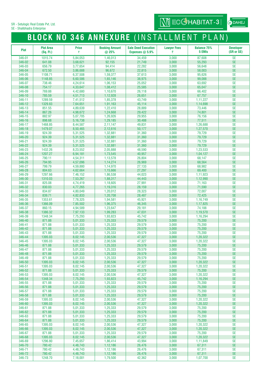SE - Shalibhadra Enterprise

# **BLOCK NO 346 ANNEXURE** (INSTALLMENT PLAN)

 $\overline{\text{MJ}}$  ECCHABITAT-3

| <b>Plot</b>      | <b>Plot Area</b><br>(Sq. Ft.) | <b>Price</b><br>₹    | <b>Booking Amount</b><br>@ 25% | <b>Sale Deed Execution</b><br>Expenses $@$ 5.9% | <b>Lawyer Fees</b><br>₹ | <b>Balance 75%</b><br>5 EMIs | <b>Developer</b><br>(SR or SE) |
|------------------|-------------------------------|----------------------|--------------------------------|-------------------------------------------------|-------------------------|------------------------------|--------------------------------|
| 346-01           | 1015.74                       | 5,84,053             | 1.46.013                       | 34,459                                          | 3,000                   | 87,608                       | <b>SE</b>                      |
| 346-02           | 641.08                        | 3,68,621             | 92,155                         | 21,749                                          | 3,000                   | 55,293                       | <b>SE</b>                      |
| 346-03           | 656.79                        | 3,77,654             | 94,414                         | 22,282                                          | 3,000                   | 56,648                       | <b>SE</b>                      |
| 346-04           | 672.50                        | 3,86,688             | 96,672                         | 22,815                                          | 3,000                   | 58,003                       | <b>SE</b>                      |
| 346-05           | 1108.71                       | 6.37.508             | 1,59,377                       | 37,613                                          | 3,000                   | 95,626                       | <b>SE</b>                      |
| 346-06           | 1148.85                       | 6,60,586             | 1,65,146                       | 38,975                                          | 3,000                   | 99,088                       | <b>SE</b>                      |
| 346-07           | 738.46                        | 4,24,614             | 1,06,153                       | 25,052                                          | 3,000                   | 63,692                       | <b>SE</b>                      |
| 346-08           | 754.17                        | 4,33,647             | 1,08,412                       | 25,585                                          | 3,000                   | 65,047                       | <b>SE</b>                      |
| 346-09<br>346-10 | 769.88<br>785.59              | 4,42,680<br>4.51.713 | 1,10,670                       | 26,118                                          | 3,000                   | 66,402                       | <b>SE</b><br><b>SE</b>         |
| 346-11           | 1289.59                       | 7,41,512             | 1,12,928<br>1,85,378           | 26,651<br>43,749                                | 3,000<br>3,000          | 67,757<br>1,11,227           | <b>SE</b>                      |
| 346-12           | 1329.83                       | 7,64,651             | 1,91,163                       | 45,114                                          | 3,000                   | 1,14,698                     | <b>SE</b>                      |
| 346-13           | 851.55                        | 4,89,639             | 1,22,410                       | 28,889                                          | 3,000                   | 73,446                       | <b>SE</b>                      |
| 346-14           | 867.26                        | 4,98,672             | 1,24,668                       | 29,422                                          | 3,000                   | 74,801                       | <b>SE</b>                      |
| 346-15           | 882.97                        | 5,07,705             | 1,26,926                       | 29,955                                          | 3,000                   | 76,156                       | <b>SE</b>                      |
| 346-16           | 898.68                        | 5, 16, 738           | 1,29,185                       | 30,488                                          | 3,000                   | 77,511                       | <b>SE</b>                      |
| 346-17           | 1468.85                       | 8,44,587             | 2,11,147                       | 49,831                                          | 3,000                   | 1,26,688                     | <b>SE</b>                      |
| 346-18           | 1479.07                       | 8,50,465             | 2,12,616                       | 50,177                                          | 3,000                   | 1,27,570                     | <b>SE</b>                      |
| 346-19<br>346-20 | 924.39<br>924.39              | 5,31,525<br>5,31,525 | 1,32,881<br>1,32,881           | 31,360<br>31,360                                | 3,000<br>3,000          | 79,729<br>79,729             | <b>SE</b><br><b>SE</b>         |
| 346-21           | 924.39                        | 5,31,525             | 1,32,881                       | 31,360                                          | 3,000                   | 79,729                       | <b>SE</b>                      |
| 346-22           | 924.39                        | 5,31,525             | 1,32,881                       | 31,360                                          | 3,000                   | 79,729                       | <b>SE</b>                      |
| 346-23           | 1432.26                       | 8,23,552             | 2,05,888                       | 48,590                                          | 3,000                   | 1,23,533                     | <b>SE</b>                      |
| 346-24           | 1207.27                       | 6,94,181             | 1,73,545                       | 40,957                                          | 3,000                   | 1,04,127                     | <b>SE</b>                      |
| 346-25           | 790.11                        | 4,54,311             | 1,13,578                       | 26,804                                          | 3,000                   | 68,147                       | <b>SE</b>                      |
| 346-26           | 794.95                        | 4,57,096             | 1,14,274                       | 26,969                                          | 3,000                   | 68,564                       | <b>SE</b>                      |
| 346-27           | 799.79                        | 4,59,880             | 1,14,970                       | 27,133                                          | 3,000                   | 68,982                       | <b>SE</b>                      |
| 346-28<br>346-29 | 804.63<br>1297.66             | 4,62,664             | 1,15,666                       | 27,297                                          | 3,000                   | 69,400                       | <b>SE</b><br><b>SE</b>         |
| 346-30           | 1310.03                       | 7,46,152<br>7,53,267 | 1,86,538<br>1,88,317           | 44,023<br>44,443                                | 3,000<br>3,000          | 1,11,923<br>1,12,990         | <b>SE</b>                      |
| 346-31           | 825.08                        | 4,74,419             | 1,18,605                       | 27,991                                          | 3,000                   | 71,163                       | <b>SE</b>                      |
| 346-32           | 830.03                        | 4,77,265             | 1,19,316                       | 28,159                                          | 3,000                   | 71,590                       | <b>SE</b>                      |
| 346-33           | 834.87                        | 4,80,049             | 1,20,012                       | 28,323                                          | 3,000                   | 72,007                       | <b>SE</b>                      |
| 346-34           | 839.71                        | 4,82,833             | 1,20,708                       | 28,487                                          | 3,000                   | 72,425                       | <b>SE</b>                      |
| 346-35           | 1353.61                       | 7,78,325             | 1,94,581                       | 45,921                                          | 3,000                   | 1,16,749                     | <b>SE</b>                      |
| 346-36           | 1366.09                       | 7,85,502             | 1,96,375                       | 46,345                                          | 3,000                   | 1,17,825                     | <b>SE</b>                      |
| 346-37<br>346-38 | 860.15<br>1386.32             | 4,94,589             | 1,23,647                       | 29,181                                          | 3,000<br>3,000          | 74,188<br>1,19,570           | <b>SE</b><br><b>SE</b>         |
| 346-39           | 1348.34                       | 7,97,133<br>7,75,293 | 1,99,283<br>1,93,823           | 47,031<br>45,742                                | 3,000                   | 1,16,294                     | <b>SE</b>                      |
| 346-40           | 871.88                        | 5,01,333             | 1,25,333                       | 29,579                                          | 3,000                   | 75,200                       | <b>SE</b>                      |
| 346-41           | 871.88                        | 5,01,333             | 1,25,333                       | 29,579                                          | 3,000                   | 75,200                       | <b>SE</b>                      |
| 346-42           | 871.88                        | 5,01,333             | 1,25,333                       | 29,579                                          | 3,000                   | 75,200                       | <b>SE</b>                      |
| 346-43           | 871.88                        | 5,01,333             | 1,25,333                       | 29,579                                          | 3,000                   | 75,200                       | <b>SE</b>                      |
| 346-44           | 1395.03                       | 8,02,145             | 2,00,536                       | 47,327                                          | 3,000                   | 1,20,322                     | <b>SE</b>                      |
| 346-45<br>346-46 | 1395.03<br>871.88             | 8,02,145<br>5,01,333 | 2,00,536<br>1,25,333           | 47,327<br>29,579                                | 3,000<br>3,000          | 1,20,322<br>75,200           | <b>SE</b><br><b>SE</b>         |
| 346-47           | 871.88                        | 5,01,333             | 1,25,333                       | 29,579                                          | 3,000                   | 75,200                       | <b>SE</b>                      |
| 346-48           | 871.88                        | 5,01,333             | 1,25,333                       | 29,579                                          | 3,000                   | 75,200                       | <b>SE</b>                      |
| 346-49           | 871.88                        | 5,01,333             | 1,25,333                       | 29,579                                          | 3,000                   | 75,200                       | <b>SE</b>                      |
| 346-50           | 1395.03                       | 8,02,145             | 2,00,536                       | 47,327                                          | 3,000                   | 1,20,322                     | <b>SE</b>                      |
| 346-51           | 1395.03                       | 8,02,145             | 2,00,536                       | 47,327                                          | 3,000                   | 1,20,322                     | <b>SE</b>                      |
| 346-52           | 871.88<br>1395.03             | 5,01,333             | 1,25,333<br>2.00.536           | 29,579                                          | 3,000                   | 75,200                       | <b>SE</b>                      |
| 346-53<br>346-54 | 1348.34                       | 8,02,145<br>7,75,293 | 1,93,823                       | 47,327<br>45,742                                | 3,000<br>3,000          | 1,20,322<br>1,16,294         | <b>SE</b><br><b>SE</b>         |
| 346-55           | 871.88                        | 5,01,333             | 1,25,333                       | 29,579                                          | 3,000                   | 75,200                       | <b>SE</b>                      |
| 346-56           | 871.88                        | 5,01,333             | 1,25,333                       | 29,579                                          | 3,000                   | 75,200                       | <b>SE</b>                      |
| 346-57           | 871.88                        | 5,01,333             | 1,25,333                       | 29,579                                          | 3,000                   | 75,200                       | <b>SE</b>                      |
| 346-58           | 871.88                        | 5,01,333             | 1,25,333                       | 29,579                                          | 3,000                   | 75,200                       | <b>SE</b>                      |
| 346-59           | 1395.03                       | 8,02,145             | 2,00,536                       | 47,327                                          | 3,000                   | 1,20,322                     | <b>SE</b>                      |
| 346-60<br>346-61 | 1395.03<br>871.88             | 8,02,145             | 2,00,536<br>1,25,333           | 47,327<br>29,579                                | 3,000<br>3,000          | 1,20,322<br>75,200           | <b>SE</b><br><b>SE</b>         |
| 346-62           | 871.88                        | 5,01,333<br>5,01,333 | 1,25,333                       | 29,579                                          | 3,000                   | 75,200                       | <b>SE</b>                      |
| 346-63           | 871.88                        | 5,01,333             | 1,25,333                       | 29,579                                          | 3,000                   | 75,200                       | <b>SE</b>                      |
| 346-64           | 871.88                        | 5,01,333             | 1,25,333                       | 29,579                                          | 3,000                   | 75,200                       | <b>SE</b>                      |
| 346-65           | 1395.03                       | 8,02,145             | 2,00,536                       | 47,327                                          | 3,000                   | 1,20,322                     | <b>SE</b>                      |
| 346-66           | 1395.03                       | 8,02,145             | 2,00,536                       | 47,327                                          | 3,000                   | 1,20,322                     | <b>SE</b>                      |
| 346-67           | 871.88                        | 5,01,333             | 1,25,333                       | 29,579                                          | 3,000                   | 75,200                       | <b>SE</b>                      |
| 346-68<br>346-69 | 1395.03<br>1296.80            | 8,02,145<br>7,45,657 | 2,00,536<br>1,86,414           | 47,327<br>43,994                                | 3,000<br>3,000          | 1,20,322<br>1,11,849         | <b>SE</b><br><b>SE</b>         |
| 346-70           | 780.42                        | 4,48,743             | 1,12,186                       | 26,476                                          | 3,000                   | 67,311                       | <b>SE</b>                      |
| 346-71           | 780.42                        | 4,48,743             | 1,12,186                       | 26,476                                          | 3,000                   | 67,311                       | <b>SE</b>                      |
| 346-72           | 780.42                        | 4,48,743             | 1,12,186                       | 26,476                                          | 3,000                   | 67,311                       | <b>SE</b>                      |
| 346-73           | 1248.70                       | 7,18,001             | 1,79,500                       | 42,362                                          | 3,000                   | 1,07,700                     | <b>SE</b>                      |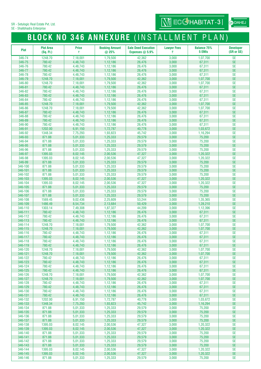SE - Shalibhadra Enterprise

# **BLOCK NO 346 ANNEXURE** (INSTALLMENT PLAN)

| <b>Plot</b>        | <b>Plot Area</b><br>(Sq. Ft.) | <b>Price</b><br>₹    | <b>Booking Amount</b><br>@ 25% | <b>Sale Deed Execution</b><br>Expenses $@$ 5.9% | <b>Lawyer Fees</b><br>₹ | <b>Balance 75%</b><br>5 EMIs | <b>Developer</b><br>(SR or SE) |
|--------------------|-------------------------------|----------------------|--------------------------------|-------------------------------------------------|-------------------------|------------------------------|--------------------------------|
| 346-74             | 1248.70                       | 7,18,001             | 1,79,500                       | 42,362                                          | 3,000                   | 1,07,700                     | <b>SE</b>                      |
| 346-75             | 780.42                        | 4,48,743             | 1,12,186                       | 26,476                                          | 3,000                   | 67,311                       | <b>SE</b>                      |
| 346-76             | 780.42                        | 4,48,743             | 1,12,186                       | 26,476                                          | 3,000                   | 67,311                       | <b>SE</b>                      |
| 346-77             | 780.42                        | 4,48,743             | 1,12,186                       | 26,476                                          | 3,000                   | 67,311                       | <b>SE</b>                      |
| 346-78             | 780.42                        | 4,48,743             | 1,12,186                       | 26,476                                          | 3,000                   | 67,311                       | <b>SE</b>                      |
| 346-79             | 1248.70                       | 7,18,001             | 1,79,500                       | 42,362                                          | 3,000                   | 1,07,700                     | <b>SE</b>                      |
| 346-80             | 1248.70                       | 7,18,001             | 1,79,500                       | 42,362                                          | 3,000                   | 1,07,700                     | <b>SE</b>                      |
| 346-81             | 780.42                        | 4,48,743             | 1,12,186                       | 26,476                                          | 3,000                   | 67,311                       | <b>SE</b>                      |
| 346-82             | 780.42                        | 4.48.743             | 1,12,186                       | 26.476                                          | 3,000                   | 67,311                       | <b>SE</b>                      |
| 346-83             | 780.42                        | 4,48,743             | 1,12,186                       | 26,476                                          | 3,000                   | 67,311                       | <b>SE</b>                      |
| 346-84<br>346-85   | 780.42<br>1248.70             | 4,48,743<br>7,18,001 | 1,12,186<br>1,79,500           | 26,476<br>42,362                                | 3,000<br>3,000          | 67,311<br>1,07,700           | <b>SE</b><br><b>SE</b>         |
| 346-86             | 1248.70                       | 7,18,001             | 1,79,500                       | 42,362                                          | 3,000                   | 1,07,700                     | <b>SE</b>                      |
| 346-87             | 780.42                        | 4,48,743             | 1,12,186                       | 26,476                                          | 3,000                   | 67,311                       | <b>SE</b>                      |
| 346-88             | 780.42                        | 4,48,743             | 1,12,186                       | 26,476                                          | 3,000                   | 67,311                       | <b>SE</b>                      |
| 346-89             | 780.42                        | 4,48,743             | 1,12,186                       | 26,476                                          | 3,000                   | 67,311                       | <b>SE</b>                      |
| 346-90             | 780.42                        | 4,48,743             | 1,12,186                       | 26,476                                          | 3,000                   | 67,311                       | <b>SE</b>                      |
| 346-91             | 1202.00                       | 6,91,150             | 1,72,787                       | 40,778                                          | 3,000                   | 1,03,672                     | <b>SE</b>                      |
| 346-92             | 1348.34                       | 7,75,293             | 1,93,823                       | 45,742                                          | 3,000                   | 1,16,294                     | <b>SE</b>                      |
| 346-93             | 871.88                        | 5,01,333             | 1,25,333                       | 29,579                                          | 3,000                   | 75,200                       | <b>SE</b>                      |
| 346-94             | 871.88                        | 5,01,333             | 1,25,333                       | 29,579                                          | 3,000                   | 75,200                       | <b>SE</b>                      |
| 346-95<br>346-96   | 871.88<br>871.88              | 5,01,333<br>5,01,333 | 1,25,333<br>1,25,333           | 29,579<br>29,579                                | 3,000<br>3,000          | 75,200<br>75,200             | <b>SE</b><br><b>SE</b>         |
| 346-97             | 1395.03                       | 8,02,145             | 2,00,536                       | 47,327                                          | 3,000                   | 1,20,322                     | <b>SE</b>                      |
| 346-98             | 1395.03                       | 8,02,145             | 2,00,536                       | 47,327                                          | 3,000                   | 1,20,322                     | <b>SE</b>                      |
| 346-99             | 871.88                        | 5,01,333             | 1,25,333                       | 29,579                                          | 3,000                   | 75,200                       | <b>SE</b>                      |
| 346-100            | 871.88                        | 5,01,333             | 1,25,333                       | 29,579                                          | 3,000                   | 75,200                       | <b>SE</b>                      |
| 346-101            | 871.88                        | 5,01,333             | 1,25,333                       | 29,579                                          | 3,000                   | 75,200                       | <b>SE</b>                      |
| 346-102            | 871.88                        | 5,01,333             | 1,25,333                       | 29,579                                          | 3,000                   | 75,200                       | <b>SE</b>                      |
| 346-103            | 1395.03                       | 8,02,145             | 2,00,536                       | 47,327                                          | 3,000                   | 1,20,322                     | $\ensuremath{\mathsf{SE}}$     |
| 346-104            | 1395.03                       | 8,02,145             | 2,00,536                       | 47,327                                          | 3,000                   | 1,20,322                     | <b>SE</b><br><b>SE</b>         |
| 346-105<br>346-106 | 871.88<br>871.88              | 5,01,333<br>5,01,333 | 1,25,333<br>1,25,333           | 29,579<br>29,579                                | 3,000<br>3,000          | 75,200<br>75,200             | <b>SE</b>                      |
| 346-107            | 871.88                        | 5,01,333             | 1,25,333                       | 29,579                                          | 3,000                   | 75,200                       | <b>SE</b>                      |
| 346-108            | 1569.45                       | 9,02,436             | 2,25,609                       | 53,244                                          | 3,000                   | 1,35,365                     | <b>SE</b>                      |
| 346-109            | 1486.49                       | 8,54,734             | 2,13,684                       | 50,429                                          | 3,000                   | 1,28,210                     | <b>SE</b>                      |
| 346-110            | 1303.14                       | 7,49,308             | 1,87,327                       | 44,209                                          | 3,000                   | 1,12,396                     | <b>SE</b>                      |
| 346-111            | 780.42                        | 4,48,743             | 1,12,186                       | 26,476                                          | 3,000                   | 67,311                       | <b>SE</b>                      |
| 346-112            | 780.42                        | 4,48,743             | 1,12,186                       | 26,476                                          | 3,000                   | 67,311                       | <b>SE</b>                      |
| 346-113            | 780.42                        | 4,48,743             | 1,12,186                       | 26,476                                          | 3,000                   | 67,311                       | <b>SE</b>                      |
| 346-114<br>346-115 | 1248.70<br>1248.70            | 7,18,001<br>7,18,001 | 1,79,500<br>1,79,500           | 42,362<br>42,362                                | 3,000<br>3,000          | 1,07,700<br>1,07,700         | <b>SE</b><br><b>SE</b>         |
| 346-116            | 780.42                        | 4,48,743             | 1,12,186                       | 26,476                                          | 3,000                   | 67,311                       | <b>SE</b>                      |
| 346-117            | 780.42                        | 4,48,743             | 1,12,186                       | 26,476                                          | 3,000                   | 67,311                       | <b>SE</b>                      |
| 346-118            | 780.42                        | 4,48,743             | 1,12,186                       | 26,476                                          | 3,000                   | 67,311                       | <b>SE</b>                      |
| 346-119            | 780.42                        | 4,48,743             | 1,12,186                       | 26,476                                          | 3,000                   | 67,311                       | <b>SE</b>                      |
| 346-120            | 1248.70                       | 7,18,001             | 1,79,500                       | 42,362                                          | 3,000                   | 1,07,700                     | <b>SE</b>                      |
| 346-121            | 1248.70                       | 7.18.001             | 1,79,500                       | 42,362                                          | 3,000                   | 1.07.700                     | <b>SE</b>                      |
| 346-122<br>346-123 | 780.42<br>780.42              | 4,48,743<br>4,48,743 | 1,12,186<br>1,12,186           | 26,476<br>26,476                                | 3,000<br>3,000          | 67,311<br>67,311             | <b>SE</b><br><b>SE</b>         |
| 346-124            | 780.42                        | 4,48,743             | 1,12,186                       | 26,476                                          | 3,000                   | 67,311                       | <b>SE</b>                      |
| 346-125            | 780.42                        | 4,48,743             | 1,12,186                       | 26,476                                          | 3,000                   | 67,311                       | <b>SE</b>                      |
| 346-126            | 1248.70                       | 7,18,001             | 1,79,500                       | 42,362                                          | 3,000                   | 1,07,700                     | <b>SE</b>                      |
| 346-127            | 1248.70                       | 7,18,001             | 1,79,500                       | 42,362                                          | 3,000                   | 1,07,700                     | $\ensuremath{\mathsf{SE}}$     |
| 346-128            | 780.42                        | 4,48,743             | 1,12,186                       | 26,476                                          | 3,000                   | 67,311                       | <b>SE</b>                      |
| 346-129            | 780.42                        | 4,48,743             | 1,12,186                       | 26,476                                          | 3,000                   | 67,311                       | <b>SE</b>                      |
| 346-130            | 780.42                        | 4,48,743             | 1,12,186                       | 26,476                                          | 3,000                   | 67,311                       | <b>SE</b>                      |
| 346-131            | 780.42                        | 4,48,743             | 1,12,186                       | 26,476                                          | 3,000                   | 67,311                       | <b>SE</b>                      |
| 346-132            | 1202.00                       | 6,91,150             | 1,72,787                       | 40,778                                          | 3,000                   | 1,03,672                     | <b>SE</b><br><b>SE</b>         |
| 346-133<br>346-134 | 1348.34<br>871.88             | 7,75,293<br>5,01,333 | 1,93,823<br>1,25,333           | 45,742<br>29,579                                | 3,000<br>3,000          | 1,16,294<br>75,200           | <b>SE</b>                      |
| 346-135            | 871.88                        | 5,01,333             | 1,25,333                       | 29,579                                          | 3,000                   | 75,200                       | <b>SE</b>                      |
| 346-136            | 871.88                        | 5,01,333             | 1,25,333                       | 29,579                                          | 3,000                   | 75,200                       | SE                             |
| 346-137            | 871.88                        | 5,01,333             | 1,25,333                       | 29,579                                          | 3,000                   | 75,200                       | <b>SE</b>                      |
| 346-138            | 1395.03                       | 8,02,145             | 2,00,536                       | 47,327                                          | 3,000                   | 1,20,322                     | <b>SE</b>                      |
| 346-139            | 1395.03                       | 8,02,145             | 2,00,536                       | 47,327                                          | 3,000                   | 1,20,322                     | $\ensuremath{\mathsf{SE}}$     |
| 346-140            | 871.88                        | 5,01,333             | 1,25,333                       | 29,579                                          | 3,000                   | 75,200                       | <b>SE</b>                      |
| 346-141            | 871.88                        | 5,01,333             | 1,25,333                       | 29,579                                          | 3,000                   | 75,200                       | <b>SE</b>                      |
| 346-142<br>346-143 | 871.88<br>871.88              | 5,01,333<br>5,01,333 | 1,25,333<br>1,25,333           | 29,579<br>29,579                                | 3,000<br>3,000          | 75,200<br>75,200             | <b>SE</b><br><b>SE</b>         |
| 346-144            | 1395.03                       | 8,02,145             | 2,00,536                       | 47,327                                          | 3,000                   | 1,20,322                     | <b>SE</b>                      |
| 346-145            | 1395.03                       | 8,02,145             | 2,00,536                       | 47,327                                          | 3,000                   | 1,20,322                     | <b>SE</b>                      |
| 346-146            | 871.88                        | 5,01,333             | 1,25,333                       | 29,579                                          | 3,000                   | 75,200                       | <b>SE</b>                      |

**OD** DAHEJ

**WI ECCHABITAT-3**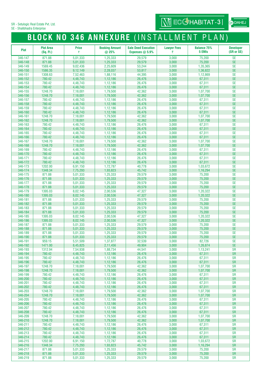SE - Shalibhadra Enterprise

# **BLOCK NO 346 ANNEXURE** (INSTALLMENT PLAN)

| <b>Plot</b>        | <b>Plot Area</b><br>(Sq. Ft.) | <b>Price</b><br>₹    | <b>Booking Amount</b><br>@ 25% | <b>Sale Deed Execution</b><br>Expenses $@$ 5.9% | <b>Lawver Fees</b><br>₹ | <b>Balance 75%</b><br>5 EMIs | <b>Developer</b><br>(SR or SE) |
|--------------------|-------------------------------|----------------------|--------------------------------|-------------------------------------------------|-------------------------|------------------------------|--------------------------------|
| 346-147            | 871.88                        | 5,01,333             | 1,25,333                       | 29,579                                          | 3,000                   | 75,200                       | <b>SE</b>                      |
| 346-148            | 871.88                        | 5,01,333             | 1,25,333                       | 29,579                                          | 3,000                   | 75,200                       | <b>SE</b>                      |
| 346-149            | 1569.45                       | 9,02,436             | 2,25,609                       | 53,244                                          | 3,000                   | 1,35,365                     | <b>SE</b>                      |
| 346-150            | 1586.35                       | 9,12,149             | 2,28,037                       | 53,817                                          | 3,000                   | 1,36,822                     | <b>SE</b>                      |
| 346-151            | 1308.63                       | 7,52,463             | 1,88,116                       | 44,395                                          | 3,000                   | 1,12,869                     | <b>SE</b>                      |
| 346-152            | 780.42                        | 4,48,743             | 1,12,186                       | 26,476                                          | 3,000                   | 67,311                       | <b>SE</b>                      |
| 346-153            | 780.42                        | 4,48,743             | 1,12,186                       | 26,476                                          | 3,000                   | 67,311                       | <b>SE</b>                      |
| 346-154            | 780.42                        | 4,48,743             | 1,12,186                       | 26,476                                          | 3,000                   | 67,311                       | <b>SE</b>                      |
| 346-155            | 1248.70                       | 7,18,001             | 1.79.500                       | 42,362                                          | 3,000                   | 1,07,700                     | <b>SE</b>                      |
| 346-156            | 1248.70                       | 7,18,001             | 1,79,500                       | 42,362                                          | 3,000                   | 1,07,700                     | <b>SE</b>                      |
| 346-157            | 780.42                        | 4,48,743             | 1,12,186                       | 26,476                                          | 3,000                   | 67,311                       | <b>SE</b>                      |
| 346-158            | 780.42                        | 4,48,743             | 1,12,186                       | 26,476                                          | 3,000                   | 67,311                       | <b>SE</b>                      |
| 346-159<br>346-160 | 780.42<br>780.42              | 4,48,743<br>4,48,743 | 1,12,186<br>1,12,186           | 26,476<br>26,476                                | 3,000<br>3,000          | 67,311<br>67,311             | <b>SE</b><br><b>SE</b>         |
| 346-161            | 1248.70                       | 7,18,001             | 1,79,500                       | 42,362                                          | 3,000                   | 1,07,700                     | <b>SE</b>                      |
| 346-162            | 1248.70                       | 7,18,001             | 1,79,500                       | 42,362                                          | 3,000                   | 1,07,700                     | <b>SE</b>                      |
| 346-163            | 780.42                        | 4,48,743             | 1,12,186                       | 26,476                                          | 3,000                   | 67,311                       | <b>SE</b>                      |
| 346-164            | 780.42                        | 4,48,743             | 1,12,186                       | 26,476                                          | 3,000                   | 67,311                       | <b>SE</b>                      |
| 346-165            | 780.42                        | 4,48,743             | 1,12,186                       | 26,476                                          | 3,000                   | 67,311                       | <b>SE</b>                      |
| 346-166            | 780.42                        | 4,48,743             | 1,12,186                       | 26,476                                          | 3,000                   | 67,311                       | <b>SE</b>                      |
| 346-167            | 1248.70                       | 7,18,001             | 1,79,500                       | 42,362                                          | 3,000                   | 1,07,700                     | <b>SE</b>                      |
| 346-168            | 1248.70                       | 7,18,001             | 1,79,500                       | 42,362                                          | 3,000                   | 1,07,700                     | <b>SE</b>                      |
| 346-169            | 780.42                        | 4,48,743             | 1,12,186                       | 26,476                                          | 3,000                   | 67,311                       | <b>SE</b>                      |
| 346-170            | 780.42                        | 4,48,743             | 1,12,186                       | 26,476                                          | 3,000                   | 67,311                       | <b>SE</b>                      |
| 346-171            | 780.42                        | 4,48,743             | 1,12,186                       | 26,476                                          | 3,000                   | 67,311                       | <b>SE</b>                      |
| 346-172            | 780.42                        | 4,48,743             | 1,12,186                       | 26,476                                          | 3,000                   | 67,311                       | <b>SE</b>                      |
| 346-173            | 1202.00                       | 6,91,150             | 1,72,787                       | 40,778                                          | 3,000                   | 1,03,672                     | <b>SE</b>                      |
| 346-174            | 1348.34                       | 7,75,293             | 1,93,823                       | 45,742                                          | 3,000                   | 1,16,294                     | <b>SE</b><br><b>SE</b>         |
| 346-175<br>346-176 | 871.88<br>871.88              | 5,01,333<br>5,01,333 | 1,25,333<br>1,25,333           | 29,579<br>29,579                                | 3,000<br>3,000          | 75,200<br>75,200             | <b>SE</b>                      |
| 346-177            | 871.88                        | 5,01,333             | 1,25,333                       | 29,579                                          | 3,000                   | 75,200                       | <b>SE</b>                      |
| 346-178            | 871.88                        | 5,01,333             | 1,25,333                       | 29,579                                          | 3,000                   | 75,200                       | <b>SE</b>                      |
| 346-179            | 1395.03                       | 8,02,145             | 2,00,536                       | 47,327                                          | 3,000                   | 1,20,322                     | <b>SE</b>                      |
| 346-180            | 1395.03                       | 8,02,145             | 2,00,536                       | 47,327                                          | 3,000                   | 1,20,322                     | <b>SE</b>                      |
| 346-181            | 871.88                        | 5,01,333             | 1,25,333                       | 29,579                                          | 3,000                   | 75,200                       | <b>SE</b>                      |
| 346-182            | 871.88                        | 5,01,333             | 1,25,333                       | 29,579                                          | 3,000                   | 75,200                       | <b>SE</b>                      |
| 346-183            | 871.88                        | 5,01,333             | 1,25,333                       | 29,579                                          | 3,000                   | 75,200                       | <b>SE</b>                      |
| 346-184            | 871.88                        | 5,01,333             | 1,25,333                       | 29,579                                          | 3,000                   | 75,200                       | <b>SE</b>                      |
| 346-185            | 1395.03                       | 8,02,145             | 2,00,536                       | 47,327                                          | 3,000                   | 1,20,322                     | <b>SE</b>                      |
| 346-186            | 1395.03                       | 8,02,145             | 2,00,536                       | 47,327                                          | 3,000                   | 1,20,322                     | <b>SE</b>                      |
| 346-187            | 871.88                        | 5.01.333             | 1,25,333                       | 29.579                                          | 3,000                   | 75,200                       | <b>SE</b>                      |
| 346-188<br>346-189 | 871.88<br>871.88              | 5,01,333<br>5,01,333 | 1,25,333<br>1,25,333           | 29,579<br>29,579                                | 3,000<br>3,000          | 75,200<br>75,200             | <b>SE</b><br><b>SE</b>         |
| 346-190            | 871.88                        | 5,01,333             | 1,25,333                       | 29,579                                          | 3,000                   | 75,200                       | <b>SE</b>                      |
| 346-191            | 959.15                        | 5,51,509             | 1,37,877                       | 32,539                                          | 3,000                   | 82,726                       | <b>SE</b>                      |
| 346-192            | 1471.00                       | 8,45,825             | 2,11,456                       | 49,904                                          | 3,000                   | 1,26,874                     | <b>SE</b>                      |
| 346-193            | 1312.94                       | 7,54,938             | 1,88,734                       | 44,541                                          | 3,000                   | 1,13,241                     | <b>SR</b>                      |
| 346-194            | 780.42                        | 4,48,743             | 1,12,186                       | 26,476                                          | 3,000                   | 67,311                       | <b>SR</b>                      |
| 346-195            | 780.42                        | 4,48,743             | 1,12,186                       | 26,476                                          | 3,000                   | 67,311                       | <b>SR</b>                      |
| 346-196            | 780.42                        | 4,48,743             | 1,12,186                       | 26,476                                          | 3,000                   | 67,311                       | <b>SR</b>                      |
| 346-197            | 1248.70                       | 7,18,001             | 1,79,500                       | 42,362                                          | 3,000                   | 1.07.700                     | <b>SR</b>                      |
| 346-198            | 1248.70                       | 7,18,001             | 1,79,500                       | 42,362                                          | 3,000                   | 1,07,700                     | <b>SR</b>                      |
| 346-199            | 780.42                        | 4,48,743             | 1,12,186                       | 26,476                                          | 3,000                   | 67,311                       | <b>SR</b>                      |
| 346-200            | 780.42                        | 4,48,743             | 1,12,186                       | 26,476                                          | 3,000                   | 67,311                       | <b>SR</b>                      |
| 346-201<br>346-202 | 780.42<br>780.42              | 4,48,743             | 1,12,186                       | 26,476                                          | 3,000<br>3,000          | 67,311                       | <b>SR</b><br><b>SR</b>         |
| 346-203            | 1248.70                       | 4,48,743<br>7,18,001 | 1,12,186<br>1,79,500           | 26,476<br>42,362                                | 3,000                   | 67,311<br>1,07,700           | <b>SR</b>                      |
| 346-204            | 1248.70                       | 7,18,001             | 1,79,500                       | 42,362                                          | 3,000                   | 1,07,700                     | <b>SR</b>                      |
| 346-205            | 780.42                        | 4,48,743             | 1,12,186                       | 26,476                                          | 3,000                   | 67,311                       | <b>SR</b>                      |
| 346-206            | 780.42                        | 4,48,743             | 1,12,186                       | 26,476                                          | 3,000                   | 67,311                       | <b>SR</b>                      |
| 346-207            | 780.42                        | 4,48,743             | 1,12,186                       | 26,476                                          | 3,000                   | 67,311                       | <b>SR</b>                      |
| 346-208            | 780.42                        | 4,48,743             | 1,12,186                       | 26,476                                          | 3,000                   | 67,311                       | <b>SR</b>                      |
| 346-209            | 1248.70                       | 7,18,001             | 1,79,500                       | 42,362                                          | 3,000                   | 1,07,700                     | <b>SR</b>                      |
| 346-210            | 1248.70                       | 7,18,001             | 1,79,500                       | 42,362                                          | 3,000                   | 1,07,700                     | <b>SR</b>                      |
| 346-211            | 780.42                        | 4,48,743             | 1,12,186                       | 26,476                                          | 3,000                   | 67,311                       | <b>SR</b>                      |
| 346-212            | 780.42                        | 4,48,743             | 1,12,186                       | 26,476                                          | 3,000                   | 67,311                       | <b>SR</b>                      |
| 346-213            | 780.42                        | 4,48,743             | 1,12,186                       | 26,476                                          | 3,000                   | 67,311                       | <b>SR</b>                      |
| 346-214            | 780.42                        | 4,48,743             | 1,12,186                       | 26,476                                          | 3,000                   | 67,311                       | <b>SR</b>                      |
| 346-215            | 1202.00                       | 6,91,150             | 1,72,787                       | 40,778                                          | 3,000                   | 1,03,672                     | <b>SR</b>                      |
| 346-216<br>346-217 | 1348.34<br>871.88             | 7,75,293<br>5,01,333 | 1,93,823<br>1,25,333           | 45,742                                          | 3,000<br>3,000          | 1,16,294<br>75,200           | <b>SR</b><br><b>SR</b>         |
| 346-218            | 871.88                        | 5,01,333             | 1,25,333                       | 29,579<br>29,579                                | 3,000                   | 75,200                       | <b>SR</b>                      |
| 346-219            | 871.88                        | 5,01,333             | 1,25,333                       | 29,579                                          | 3,000                   | 75,200                       | <b>SR</b>                      |

**OD** DAHEJ

**WI ECCHABITAT-31**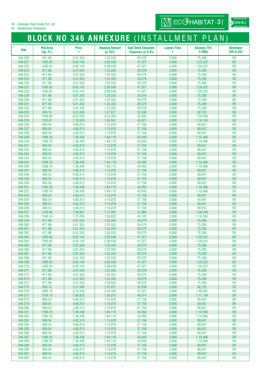SE - Shalibhadra Enterprise

# **BLOCK NO 346 ANNEXURE** (INSTALLMENT PLAN)

| Plot               | <b>Plot Area</b><br>(Sq. Ft.) | <b>Price</b><br>₹    | <b>Booking Amount</b><br>@ 25% | <b>Sale Deed Execution</b><br>Expenses $@$ 5.9% | <b>Lawyer Fees</b><br>₹ | <b>Balance 75%</b><br>5 EMIs | <b>Developer</b><br>(SR or SE) |
|--------------------|-------------------------------|----------------------|--------------------------------|-------------------------------------------------|-------------------------|------------------------------|--------------------------------|
| 346-220            | 871.88                        | 5,01,333             | 1,25,333                       | 29,579                                          | 3,000                   | 75,200                       | <b>SR</b>                      |
| 346-221            | 1395.03                       | 8,02,145             | 2,00,536                       | 47,327                                          | 3,000                   | 1,20,322                     | <b>SR</b>                      |
| 346-222            | 1395.03                       | 8,02,145             | 2,00,536                       | 47,327                                          | 3,000                   | 1,20,322                     | <b>SR</b>                      |
| 346-223            | 871.88                        | 5,01,333             | 1,25,333                       | 29,579                                          | 3,000                   | 75,200                       | <b>SR</b>                      |
| 346-224            | 871.88                        | 5,01,333             | 1,25,333                       | 29,579                                          | 3,000                   | 75,200                       | <b>SR</b>                      |
| 346-225            | 871.88<br>871.88              | 5,01,333             | 1,25,333                       | 29,579                                          | 3,000                   | 75,200<br>75,200             | <b>SR</b><br><b>SR</b>         |
| 346-226<br>346-227 | 1395.03                       | 5,01,333<br>8,02,145 | 1,25,333<br>2,00,536           | 29,579<br>47,327                                | 3,000<br>3,000          | 1,20,322                     | <b>SR</b>                      |
| 346-228            | 1395.03                       | 8,02,145             | 2,00,536                       | 47,327                                          | 3,000                   | 1,20,322                     | <b>SR</b>                      |
| 346-229            | 871.88                        | 5,01,333             | 1,25,333                       | 29,579                                          | 3,000                   | 75,200                       | <b>SR</b>                      |
| 346-230            | 871.88                        | 5,01,333             | 1,25,333                       | 29,579                                          | 3,000                   | 75,200                       | <b>SR</b>                      |
| 346-231            | 871.88                        | 5,01,333             | 1,25,333                       | 29,579                                          | 3,000                   | 75,200                       | <b>SR</b>                      |
| 346-232            | 871.88                        | 5,01,333             | 1,25,333                       | 29,579                                          | 3,000                   | 75,200                       | <b>SR</b>                      |
| 346-233            | 959.15                        | 5,51,509             | 1,37,877                       | 32,539                                          | 3,000                   | 82,726                       | <b>SR</b>                      |
| 346-234            | 1560.09                       | 8,97,053             | 2,24,263                       | 52,926                                          | 3,000                   | 1,34,558                     | <b>SR</b>                      |
| 346-235            | 1353.61                       | 7,78,325             | 1,94,581                       | 45,921                                          | 3,000                   | 1,16,749                     | <b>SR</b>                      |
| 346-236<br>346-237 | 800.54<br>800.54              | 4,60,313             | 1,15,078                       | 27,158                                          | 3,000                   | 69,047<br>69,047             | <b>SR</b><br><b>SR</b>         |
| 346-238            | 800.54                        | 4,60,313<br>4,60,313 | 1,15,078<br>1,15,078           | 27,158<br>27,158                                | 3,000<br>3,000          | 69,047                       | <b>SR</b>                      |
| 346-239            | 1280.76                       | 7,36,439             | 1,84,110                       | 43,450                                          | 3,000                   | 1,10,466                     | <b>SR</b>                      |
| 346-240            | 1280.76                       | 7,36,439             | 1,84,110                       | 43,450                                          | 3,000                   | 1,10,466                     | <b>SR</b>                      |
| 346-241            | 800.54                        | 4,60,313             | 1,15,078                       | 27,158                                          | 3,000                   | 69,047                       | <b>SR</b>                      |
| 346-242            | 800.54                        | 4,60,313             | 1,15,078                       | 27,158                                          | 3,000                   | 69,047                       | <b>SR</b>                      |
| 346-243            | 800.54                        | 4,60,313             | 1,15,078                       | 27,158                                          | 3,000                   | 69,047                       | <b>SR</b>                      |
| 346-244            | 800.54                        | 4,60,313             | 1,15,078                       | 27,158                                          | 3,000                   | 69,047                       | <b>SR</b>                      |
| 346-245            | 1280.76                       | 7,36,439             | 1,84,110                       | 43,450                                          | 3,000                   | 1,10,466                     | SR                             |
| 346-246            | 1280.76                       | 7,36,439             | 1,84,110                       | 43,450                                          | 3,000                   | 1,10,466                     | <b>SR</b>                      |
| 346-247            | 800.54                        | 4,60,313             | 1,15,078                       | 27,158                                          | 3,000                   | 69,047                       | <b>SR</b>                      |
| 346-248<br>346-249 | 800.54<br>800.54              | 4,60,313<br>4,60,313 | 1,15,078<br>1,15,078           | 27,158<br>27,158                                | 3,000<br>3,000          | 69,047<br>69,047             | <b>SR</b><br><b>SR</b>         |
| 346-250            | 800.54                        | 4,60,313             | 1,15,078                       | 27,158                                          | 3,000                   | 69,047                       | <b>SR</b>                      |
| 346-251            | 1280.76                       | 7,36,439             | 1,84,110                       | 43,450                                          | 3,000                   | 1,10,466                     | SR                             |
| 346-252            | 1280.76                       | 7,36,439             | 1,84,110                       | 43,450                                          | 3,000                   | 1,10,466                     | <b>SR</b>                      |
| 346-253            | 800.54                        | 4,60,313             | 1,15,078                       | 27,158                                          | 3,000                   | 69,047                       | <b>SR</b>                      |
| 346-254            | 800.54                        | 4,60,313             | 1,15,078                       | 27,158                                          | 3,000                   | 69,047                       | <b>SR</b>                      |
| 346-255            | 800.54                        | 4,60,313             | 1,15,078                       | 27,158                                          | 3,000                   | 69,047                       | <b>SR</b>                      |
| 346-256            | 800.54                        | 4,60,313             | 1,15,078                       | 27,158                                          | 3,000                   | 69,047                       | <b>SR</b>                      |
| 346-257            | 1234.06                       | 7,09,587             | 1,77,397                       | 41,866                                          | 3,000                   | 1,06,438                     | <b>SR</b>                      |
| 346-258            | 1348.34                       | 7,75,293             | 1,93,823                       | 45,742                                          | 3,000                   | 1,16,294                     | <b>SR</b>                      |
| 346-259<br>346-260 | 871.88<br>871.88              | 5,01,333<br>5,01,333 | 1,25,333<br>1,25,333           | 29,579<br>29,579                                | 3,000<br>3,000          | 75,200<br>75,200             | <b>SR</b><br><b>SR</b>         |
| 346-261            | 871.88                        | 5,01,333             | 1,25,333                       | 29,579                                          | 3,000                   | 75,200                       | <b>SR</b>                      |
| 346-262            | 871.88                        | 5,01,333             | 1,25,333                       | 29,579                                          | 3,000                   | 75,200                       | <b>SR</b>                      |
| 346-263            | 1395.03                       | 8,02,145             | 2,00,536                       | 47.327                                          | 3,000                   | 1.20.322                     | <b>SR</b>                      |
| 346-264            | 1395.03                       | 8,02,145             | 2,00,536                       | 47,327                                          | 3,000                   | 1,20,322                     | <b>SR</b>                      |
| 346-265            | 871.88                        | 5,01,333             | 1,25,333                       | 29,579                                          | 3,000                   | 75,200                       | <b>SR</b>                      |
| 346-266            | 871.88                        | 5,01,333             | 1,25,333                       | 29,579                                          | 3,000                   | 75,200                       | <b>SR</b>                      |
| 346-267            | 871.88                        | 5,01,333             | 1,25,333                       | 29,579                                          | 3,000                   | 75,200                       | <b>SR</b>                      |
| 346-268<br>346-269 | 871.88                        | 5,01,333             | 1,25,333                       | 29,579                                          | 3,000                   | 75,200                       | <b>SR</b><br><b>SR</b>         |
| 346-270            | 1395.03<br>1395.03            | 8,02,145<br>8,02,145 | 2,00,536<br>2,00,536           | 47,327<br>47,327                                | 3,000<br>3,000          | 1,20,322<br>1,20,322         | <b>SR</b>                      |
| 346-271            | 871.88                        | 5,01,333             | 1,25,333                       | 29,579                                          | 3,000                   | 75,200                       | <b>SR</b>                      |
| 346-272            | 871.88                        | 5,01,333             | 1,25,333                       | 29,579                                          | 3,000                   | 75,200                       | <b>SR</b>                      |
| 346-273            | 871.88                        | 5,01,333             | 1,25,333                       | 29,579                                          | 3,000                   | 75,200                       | <b>SR</b>                      |
| 346-274            | 871.88                        | 5,01,333             | 1,25,333                       | 29,579                                          | 3,000                   | 75,200                       | <b>SR</b>                      |
| 346-275            | 959.15                        | 5,51,509             | 1,37,877                       | 32,539                                          | 3,000                   | 82,726                       | <b>SR</b>                      |
| 346-276            | 1692.76                       | 9,73,339             | 2,43,335                       | 57,427                                          | 3,000                   | 1,46,001                     | <b>SR</b>                      |
| 346-277            | 1358.13                       | 7,80,923             | 1,95,231                       | 46,074                                          | 3,000                   | 1,17,138                     | <b>SR</b>                      |
| 346-278            | 800.54                        | 4,60,313             | 1,15,078                       | 27,158                                          | 3,000                   | 69,047                       | <b>SR</b>                      |
| 346-279<br>346-280 | 800.54<br>800.54              | 4,60,313<br>4,60,313 | 1,15,078<br>1,15,078           | 27,158<br>27,158                                | 3,000<br>3,000          | 69,047<br>69,047             | <b>SR</b><br><b>SR</b>         |
| 346-281            | 1280.76                       | 7,36,439             | 1,84,110                       | 43,450                                          | 3,000                   | 1,10,466                     | <b>SR</b>                      |
| 346-282            | 1280.76                       | 7,36,439             | 1,84,110                       | 43,450                                          | 3,000                   | 1,10,466                     | <b>SR</b>                      |
| 346-283            | 800.54                        | 4,60,313             | 1,15,078                       | 27,158                                          | 3,000                   | 69,047                       | <b>SR</b>                      |
| 346-284            | 800.54                        | 4,60,313             | 1,15,078                       | 27,158                                          | 3,000                   | 69,047                       | <b>SR</b>                      |
| 346-285            | 800.54                        | 4,60,313             | 1,15,078                       | 27,158                                          | 3,000                   | 69,047                       | <b>SR</b>                      |
| 346-286            | 800.54                        | 4,60,313             | 1,15,078                       | 27,158                                          | 3,000                   | 69,047                       | <b>SR</b>                      |
| 346-287            | 1280.76                       | 7,36,439             | 1,84,110                       | 43,450                                          | 3,000                   | 1,10,466                     | <b>SR</b>                      |
| 346-288            | 1280.76                       | 7,36,439             | 1,84,110                       | 43,450                                          | 3,000                   | 1,10,466                     | <b>SR</b>                      |
| 346-289<br>346-290 | 800.54<br>800.54              | 4,60,313<br>4,60,313 | 1,15,078<br>1,15,078           | 27,158<br>27,158                                | 3,000<br>3,000          | 69,047<br>69,047             | <b>SR</b><br><b>SR</b>         |
| 346-291            | 800.54                        | 4,60,313             | 1,15,078                       | 27,158                                          | 3,000                   | 69,047                       | <b>SR</b>                      |
| 346-292            | 800.54                        | 4,60,313             | 1,15,078                       | 27,158                                          | 3,000                   | 69,047                       | <b>SR</b>                      |

at DAHEJ

**WI ECCHABITAT-3**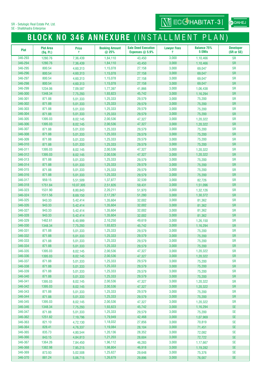SE - Shalibhadra Enterprise

# **BLOCK NO 346 ANNEXURE** (INSTALLMENT PLAN)

| <b>Plot</b>        | <b>Plot Area</b><br>(Sq. Ft.) | <b>Price</b><br>₹    | <b>Booking Amount</b><br>@ 25% | <b>Sale Deed Execution</b><br>Expenses $@$ 5.9% | <b>Lawyer Fees</b><br>₹ | <b>Balance 75%</b><br>5 EMIs | <b>Developer</b><br>(SR or SE) |
|--------------------|-------------------------------|----------------------|--------------------------------|-------------------------------------------------|-------------------------|------------------------------|--------------------------------|
| 346-293            | 1280.76                       | 7,36,439             | 1,84,110                       | 43,450                                          | 3,000                   | 1,10,466                     | <b>SR</b>                      |
| 346-294            | 1280.76                       | 7,36,439             | 1,84,110                       | 43,450                                          | 3,000                   | 1,10,466                     | <b>SR</b>                      |
| 346-295            | 800.54                        | 4,60,313             | 1,15,078                       | 27,158                                          | 3,000                   | 69,047                       | <b>SR</b>                      |
| 346-296            | 800.54                        | 4,60,313             | 1,15,078                       | 27,158                                          | 3,000                   | 69,047                       | <b>SR</b>                      |
| 346-297            | 800.54                        | 4,60,313             | 1,15,078                       | 27,158                                          | 3,000                   | 69,047                       | <b>SR</b>                      |
| 346-298            | 800.54                        | 4,60,313             | 1,15,078                       | 27,158                                          | 3,000                   | 69,047                       | <b>SR</b>                      |
| 346-299            | 1234.06                       | 7,09,587             | 1,77,397                       | 41,866                                          | 3,000                   | 1,06,438                     | <b>SR</b>                      |
| 346-300            | 1348.34                       | 7,75,293             | 1,93,823                       | 45,742                                          | 3,000                   | 1,16,294                     | <b>SR</b>                      |
| 346-301            | 871.88                        | 5,01,333             | 1,25,333                       | 29,579                                          | 3,000                   | 75,200                       | <b>SR</b>                      |
| 346-302            | 871.88                        | 5,01,333             | 1,25,333                       | 29,579                                          | 3,000                   | 75,200                       | <b>SR</b>                      |
| 346-303            | 871.88                        | 5,01,333             | 1,25,333                       | 29,579                                          | 3,000                   | 75,200                       | <b>SR</b>                      |
| 346-304            | 871.88                        | 5,01,333             | 1,25,333                       | 29,579                                          | 3,000                   | 75,200                       | <b>SR</b>                      |
| 346-305            | 1395.03                       | 8,02,145             | 2,00,536                       | 47,327                                          | 3,000                   | 1,20,322                     | <b>SR</b>                      |
| 346-306            | 1395.03                       | 8,02,145             | 2,00,536                       | 47,327                                          | 3,000                   | 1,20,322                     | <b>SR</b>                      |
| 346-307            | 871.88                        | 5,01,333             | 1,25,333                       | 29,579                                          | 3,000                   | 75,200                       | <b>SR</b>                      |
| 346-308            | 871.88                        | 5,01,333             | 1,25,333                       | 29,579                                          | 3,000                   | 75,200                       | <b>SR</b>                      |
| 346-309            | 871.88                        | 5,01,333             | 1,25,333                       | 29,579                                          | 3,000                   | 75,200                       | <b>SR</b>                      |
| 346-310            | 871.88                        | 5,01,333             | 1,25,333                       | 29,579                                          | 3,000                   | 75,200                       | <b>SR</b>                      |
| 346-311            | 1395.03                       | 8,02,145             | 2,00,536                       | 47,327                                          | 3,000                   | 1,20,322                     | <b>SR</b>                      |
| 346-312            | 1395.03                       | 8,02,145             | 2,00,536                       | 47,327                                          | 3,000                   | 1,20,322                     | <b>SR</b>                      |
| 346-313            | 871.88                        | 5,01,333             | 1,25,333                       | 29,579                                          | 3,000                   | 75,200                       | <b>SR</b>                      |
| 346-314            | 871.88                        | 5,01,333             | 1,25,333                       | 29,579                                          | 3,000                   | 75,200                       | <b>SR</b>                      |
| 346-315            | 871.88                        | 5,01,333             | 1,25,333                       | 29,579                                          | 3,000                   | 75,200                       | <b>SR</b>                      |
| 346-316            | 871.88                        | 5,01,333             | 1,25,333                       | 29,579                                          | 3,000                   | 75,200                       | <b>SR</b>                      |
| 346-317            | 959.15                        | 5,51,509             | 1,37,877                       | 32,539                                          | 3,000                   | 82,726                       | <b>SR</b>                      |
| 346-318            | 1751.84                       | 10,07,305            | 2,51,826                       | 59,431                                          | 3,000                   | 1,51,096                     | <b>SR</b>                      |
| 346-323            | 1531.90                       | 8,80,843             | 2,20,211                       | 51,970                                          | 3,000                   | 1,32,126                     | <b>SR</b>                      |
| 346-324            | 1511.56                       | 8,69,150             | 2,17,287                       | 51,280                                          | 3,000                   | 1,30,372                     | <b>SR</b>                      |
| 346-325            | 943.33                        | 5,42,414             | 1,35,604                       | 32,002                                          | 3,000                   | 81,362                       | <b>SR</b>                      |
| 346-326            | 943.33                        | 5,42,414             | 1,35,604                       | 32,002                                          | 3,000                   | 81,362                       | <b>SR</b>                      |
| 346-327            | 943.33                        | 5,42,414             | 1,35,604                       | 32,002                                          | 3,000                   | 81,362                       | <b>SR</b>                      |
| 346-328            | 943.33                        | 5,42,414             | 1,35,604                       | 32.002                                          | 3,000                   | 81,362                       | <b>SR</b>                      |
| 346-329            | 1462.61                       | 8,40,999             | 2,10,250                       | 49,619                                          | 3,000                   | 1,26,150                     | <b>SR</b>                      |
| 346-330            | 1348.34                       | 7,75,293             | 1,93,823                       | 45,742                                          | 3,000                   | 1,16,294                     | <b>SR</b>                      |
| 346-331            | 871.88                        | 5,01,333             | 1,25,333                       | 29,579                                          | 3,000                   | 75,200                       | <b>SR</b>                      |
| 346-332            | 871.88                        | 5,01,333             | 1,25,333                       | 29,579                                          | 3,000                   | 75,200                       | <b>SR</b>                      |
| 346-333            | 871.88                        | 5,01,333             | 1,25,333                       | 29,579                                          | 3,000                   | 75,200                       | <b>SR</b>                      |
| 346-334            | 871.88                        | 5,01,333             | 1,25,333                       | 29,579                                          | 3,000                   | 75,200                       | <b>SR</b>                      |
| 346-335            | 1395.03                       | 8,02,145             | 2,00,536                       | 47,327                                          | 3,000                   | 1,20,322                     | <b>SR</b>                      |
| 346-336            | 1395.03                       | 8,02,145             | 2,00,536                       | 47,327                                          | 3,000                   | 1,20,322                     | <b>SR</b>                      |
| 346-337            | 871.88                        | 5,01,333             | 1,25,333                       | 29,579                                          | 3,000                   | 75,200                       | <b>SR</b>                      |
| 346-338            | 871.88                        | 5,01,333             | 1,25,333                       | 29,579                                          | 3,000                   | 75,200                       | <b>SR</b>                      |
| 346-339            | 871.88                        | 5,01,333             | 1,25,333                       | 29,579                                          | 3,000                   | 75,200                       | <b>SR</b>                      |
| 346-340            | 871.88                        | 5,01,333             | 1,25,333                       | 29,579                                          | 3,000                   | 75,200                       | <b>SR</b>                      |
| 346-341            | 1395.03                       | 8,02,145             | 2,00,536                       | 47,327                                          | 3,000                   | 1,20,322                     | <b>SR</b>                      |
| 346-342            | 1395.03                       | 8,02,145             | 2,00,536                       | 47,327                                          | 3,000                   | 1,20,322                     | <b>SR</b>                      |
| 346-343<br>346-344 | 871.88<br>871.88              | 5,01,333             | 1,25,333<br>1,25,333           | 29,579                                          | 3,000<br>3,000          | 75,200                       | <b>SR</b><br><b>SR</b>         |
| 346-345            | 1395.03                       | 5,01,333             |                                | 29,579                                          |                         | 75,200                       | <b>SR</b>                      |
| 346-346            | 1348.34                       | 8,02,145             | 2,00,536<br>1,93,823           | 47,327<br>45,742                                | 3,000<br>3,000          | 1,20,322<br>1,16,294         | <b>SE</b>                      |
| 346-347            | 871.88                        | 7,75,293<br>5,01,333 | 1,25,333                       | 29,579                                          | 3,000                   | 75,200                       | <b>SE</b>                      |
| 346-362            | 1251.82                       | 7,19,796             | 1,79,949                       | 42,468                                          | 3,000                   | 1,07,969                     | <b>SE</b>                      |
| 346-363            | 821.10                        | 4,72,130             | 1,18,032                       | 27,856                                          | 3,000                   | 70,819                       | <b>SE</b>                      |
| 346-364            | 828.41                        | 4,76,337             | 1,19,084                       | 28,104                                          | 3,000                   | 71,451                       | <b>SE</b>                      |
| 346-365            | 835.73                        | 4,80,544             | 1,20,136                       | 28,352                                          | 3,000                   | 72,082                       | <b>SE</b>                      |
| 346-366            | 843.15                        | 4,84,813             | 1,21,203                       | 28,604                                          | 3,000                   | 72,722                       | <b>SE</b>                      |
| 346-367            | 1364.26                       | 7,84,450             | 1,96,112                       | 46,283                                          | 3,000                   | 1,17,667                     | <b>SE</b>                      |
| 346-368            | 1382.98                       | 7,95,215             | 1,98,804                       | 46,918                                          | 3,000                   | 1,19,282                     | <b>SE</b>                      |
| 346-369            | 873.93                        | 5,02,508             | 1,25,627                       | 29,648                                          | 3,000                   | 75,376                       | <b>SE</b>                      |
| 346-370            | 881.24                        | 5,06,715             | 1,26,679                       | 29,896                                          | 3,000                   | 76,007                       | $\ensuremath{\mathsf{SE}}$     |

at DAHEJ

**WI ECGHABITAT-31**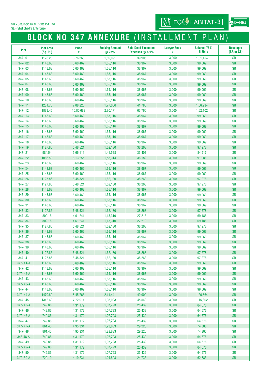SE - Shalibhadra Enterprise

# **BLOCK NO 347 ANNEXURE** (INSTALLMENT PLAN)

| <b>Plot</b>          | <b>Plot Area</b><br>(Sq. Ft.) | <b>Price</b><br>₹    | <b>Booking Amount</b><br>@ 25% | <b>Sale Deed Execution</b><br>Expenses $@$ 5.9% | <b>Lawyer Fees</b><br>₹ | <b>Balance 75%</b><br>5 EMIs | <b>Developer</b><br>(SR or SE) |
|----------------------|-------------------------------|----------------------|--------------------------------|-------------------------------------------------|-------------------------|------------------------------|--------------------------------|
| 347-01               | 1176.28                       | 6,76,363             | 1,69,091                       | 39,905                                          | 3,000                   | 1,01,454                     | <b>SR</b>                      |
| 347-02               | 1148.63                       | 6,60,462             | 1,65,116                       | 38,967                                          | 3,000                   | 99,069                       | <b>SR</b>                      |
| 347-03               | 1148.63                       | 6,60,462             | 1,65,116                       | 38,967                                          | 3,000                   | 99,069                       | <b>SR</b>                      |
| 347-04               | 1148.63                       | 6,60,462             | 1,65,116                       | 38,967                                          | 3,000                   | 99,069                       | <b>SR</b>                      |
| 347-05               | 1148.63                       | 6,60,462             | 1,65,116                       | 38,967                                          | 3,000                   | 99,069                       | <b>SR</b>                      |
| 347-07               | 1148.63                       | 6,60,462             | 1,65,116                       | 38,967                                          | 3,000                   | 99,069                       | <b>SR</b>                      |
| 347-08               | 1148.63                       | 6,60,462             | 1,65,116                       | 38,967                                          | 3,000                   | 99,069                       | <b>SR</b>                      |
| 347-09               | 1148.63                       | 6,60,462             | 1,65,116                       | 38,967                                          | 3,000                   | 99,069                       | <b>SR</b>                      |
| 347-10               | 1148.63                       | 6,60,462             | 1,65,116                       | 38,967                                          | 3,000                   | 99,069                       | <b>SR</b>                      |
| $347 - 11$           | 1231.70                       | 7,08,226             | 1,77,056                       | 41,785                                          | 3,000                   | 1,06,234                     | <b>SR</b>                      |
| 347-12               | 1879.45                       | 10,80,683            | 2,70,171                       | 63,760                                          | 3,000                   | 1,62,102                     | <b>SR</b>                      |
| $347 - 13$           | 1148.63                       | 6,60,462             | 1,65,116                       | 38,967                                          | 3,000                   | 99,069                       | <b>SR</b>                      |
| 347-14               | 1148.63                       | 6,60,462             | 1,65,116                       | 38,967                                          | 3,000                   | 99,069                       | <b>SR</b>                      |
| $347 - 15$<br>347-16 | 1148.63                       | 6,60,462             | 1,65,116                       | 38,967                                          | 3,000                   | 99,069                       | <b>SR</b>                      |
| 347-17               | 1148.63<br>1148.63            | 6,60,462<br>6,60,462 | 1,65,116<br>1,65,116           | 38,967<br>38,967                                | 3,000<br>3,000          | 99,069<br>99,069             | <b>SR</b><br><b>SR</b>         |
| 347-18               | 1148.63                       | 6,60,462             | 1,65,116                       | 38,967                                          | 3,000                   | 99,069                       | <b>SR</b>                      |
| 347-19               | 1127.86                       | 6,48,521             | 1,62,130                       | 38,263                                          | 3,000                   | 97,278                       | <b>SR</b>                      |
| $347 - 21$           | 984.54                        | 5,66,111             | 1,41,528                       | 33,401                                          | 3,000                   | 84,917                       | <b>SR</b>                      |
| 347-22               | 1066.53                       | 6,13,255             | 1,53,314                       | 36,182                                          | 3,000                   | 91,988                       | <b>SR</b>                      |
| 347-23               | 1148.63                       | 6,60,462             | 1,65,116                       | 38,967                                          | 3,000                   | 99,069                       | <b>SR</b>                      |
| 347-24               | 1148.63                       | 6,60,462             | 1,65,116                       | 38,967                                          | 3,000                   | 99,069                       | <b>SR</b>                      |
| 347-25               | 1148.63                       | 6,60,462             | 1,65,116                       | 38,967                                          | 3,000                   | 99,069                       | <b>SR</b>                      |
| 347-26               | 1127.86                       | 6,48,521             | 1,62,130                       | 38,263                                          | 3,000                   | 97,278                       | <b>SR</b>                      |
| 347-27               | 1127.86                       | 6,48,521             | 1,62,130                       | 38,263                                          | 3,000                   | 97,278                       | <b>SR</b>                      |
| 347-28               | 1148.63                       | 6,60,462             | 1,65,116                       | 38,967                                          | 3,000                   | 99,069                       | <b>SR</b>                      |
| 347-29               | 1148.63                       | 6,60,462             | 1,65,116                       | 38,967                                          | 3,000                   | 99,069                       | <b>SR</b>                      |
| 347-30               | 1148.63                       | 6,60,462             | 1,65,116                       | 38,967                                          | 3,000                   | 99,069                       | <b>SR</b>                      |
| $347 - 31$           | 1148.63                       | 6,60,462             | 1,65,116                       | 38,967                                          | 3,000                   | 99,069                       | <b>SR</b>                      |
| 347-32<br>347-33     | 1127.86<br>802.16             | 6,48,521             | 1,62,130                       | 38,263<br>27,213                                | 3,000<br>3,000          | 97,278<br>69,186             | <b>SR</b><br><b>SR</b>         |
| 347-34               | 802.16                        | 4,61,241<br>4,61,241 | 1,15,310<br>1,15,310           | 27,213                                          | 3,000                   | 69,186                       | <b>SR</b>                      |
| 347-35               | 1127.86                       | 6,48,521             | 1,62,130                       | 38,263                                          | 3,000                   | 97,278                       | <b>SR</b>                      |
| 347-36               | 1148.63                       | 6,60,462             | 1,65,116                       | 38,967                                          | 3,000                   | 99,069                       | <b>SR</b>                      |
| 347-37               | 1148.63                       | 6,60,462             | 1,65,116                       | 38,967                                          | 3,000                   | 99,069                       | <b>SR</b>                      |
| 347-38               | 1148.63                       | 6,60,462             | 1,65,116                       | 38,967                                          | 3,000                   | 99,069                       | <b>SR</b>                      |
| 347-39               | 1148.63                       | 6,60,462             | 1,65,116                       | 38,967                                          | 3,000                   | 99,069                       | <b>SR</b>                      |
| 347-40               | 1127.86                       | 6,48,521             | 1,62,130                       | 38,263                                          | 3,000                   | 97,278                       | <b>SR</b>                      |
| $347 - 41$           | 1127.86                       | 6,48,521             | 1,62,130                       | 38,263                                          | 3,000                   | 97,278                       | <b>SR</b>                      |
| 347-41-A             | 1148.63                       | 6,60,462             | 1,65,116                       | 38,967                                          | 3,000                   | 99,069                       | <b>SR</b>                      |
| 347-42               | 1148.63                       | 6,60,462             | 1,65,116                       | 38,967                                          | 3,000                   | 99,069                       | <b>SR</b>                      |
| 347-42-A             | 1148.63                       | 6,60,462             | 1,65,116                       | 38,967                                          | 3,000                   | 99,069                       | <b>SR</b>                      |
| 347-43               | 1148.63                       | 6,60,462             | 1,65,116                       | 38,967                                          | 3,000                   | 99,069                       | <b>SR</b>                      |
| 347-43-A             | 1148.63                       | 6,60,462             | 1,65,116                       | 38,967                                          | 3,000                   | 99,069                       | <b>SR</b>                      |
| 347-44<br>347-44-A   | 1148.63                       | 6,60,462             | 1,65,116                       | 38,967                                          | 3,000<br>3,000          | 99,069                       | <b>SR</b><br><b>SR</b>         |
| 347-45               | 1470.89<br>1342.63            | 8,45,763<br>7,72,014 | 2,11,441<br>1,93,003           | 49,900<br>45,549                                | 3,000                   | 1,26,864<br>1,15,802         | <b>SR</b>                      |
| 347-45-A             | 749.86                        | 4,31,172             | 1,07,793                       | 25,439                                          | 3,000                   | 64,676                       | <b>SR</b>                      |
| 347-46               | 749.86                        | 4,31,172             | 1,07,793                       | 25,439                                          | 3,000                   | 64,676                       | <b>SR</b>                      |
| 347-46-A             | 749.86                        | 4,31,172             | 1,07,793                       | 25,439                                          | 3,000                   | 64,676                       | <b>SR</b>                      |
| 347-47               | 749.86                        | 4,31,172             | 1,07,793                       | 25,439                                          | 3,000                   | 64,676                       | <b>SR</b>                      |
| 347-47-A             | 861.45                        | 4,95,331             | 1,23,833                       | 29,225                                          | 3,000                   | 74,300                       | <b>SR</b>                      |
| 347-48               | 861.45                        | 4,95,331             | 1,23,833                       | 29,225                                          | 3,000                   | 74,300                       | <b>SR</b>                      |
| 348-48-A             | 749.86                        | 4,31,172             | 1,07,793                       | 25,439                                          | 3,000                   | 64,676                       | <b>SR</b>                      |
| 347-49               | 749.86                        | 4,31,172             | 1,07,793                       | 25,439                                          | 3,000                   | 64,676                       | <b>SR</b>                      |
| 347-49-A             | 749.86                        | 4,31,172             | 1,07,793                       | 25,439                                          | 3,000                   | 64,676                       | <b>SR</b>                      |
| 347-50               | 749.86                        | 4,31,172             | 1,07,793                       | 25,439                                          | 3,000                   | 64,676                       | <b>SR</b>                      |
| 347-50-A             | 729.10                        | 4,19,231             | 1,04,808                       | 24,735                                          | 3,000                   | 62,885                       | <b>SR</b>                      |

at DAHEJ

 $\overline{\text{Nj}}$  ECCHABITAT-3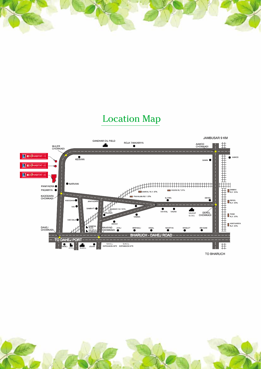# Location Map